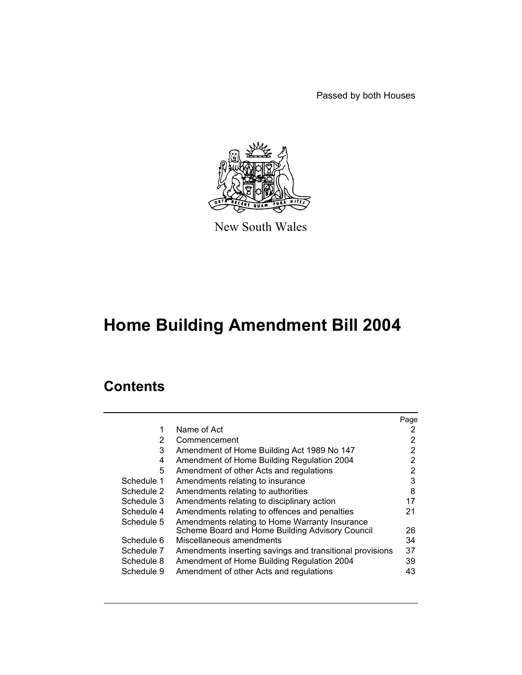Passed by both Houses



New South Wales

# **Home Building Amendment Bill 2004**

# **Contents**

|            |                                                          | Page |
|------------|----------------------------------------------------------|------|
| 1          | Name of Act                                              | 2    |
| 2          | Commencement                                             | 2    |
| 3          | Amendment of Home Building Act 1989 No 147               | 2    |
| 4          | Amendment of Home Building Regulation 2004               | 2    |
| 5          | Amendment of other Acts and regulations                  | 2    |
| Schedule 1 | Amendments relating to insurance                         | 3    |
| Schedule 2 | Amendments relating to authorities                       | 8    |
| Schedule 3 | Amendments relating to disciplinary action               | 17   |
| Schedule 4 | Amendments relating to offences and penalties            | 21   |
| Schedule 5 | Amendments relating to Home Warranty Insurance           |      |
|            | Scheme Board and Home Building Advisory Council          | 26   |
| Schedule 6 | Miscellaneous amendments                                 | 34   |
| Schedule 7 | Amendments inserting savings and transitional provisions | 37   |
| Schedule 8 | Amendment of Home Building Regulation 2004               | 39   |
| Schedule 9 | Amendment of other Acts and regulations                  | 43   |
|            |                                                          |      |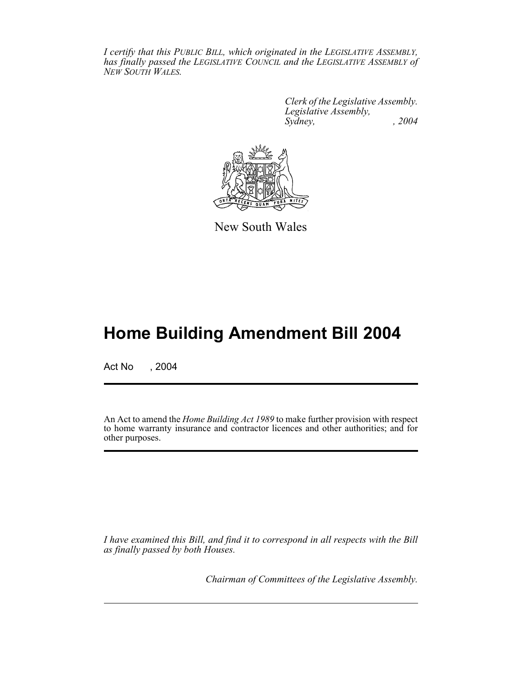*I certify that this PUBLIC BILL, which originated in the LEGISLATIVE ASSEMBLY, has finally passed the LEGISLATIVE COUNCIL and the LEGISLATIVE ASSEMBLY of NEW SOUTH WALES.*

> *Clerk of the Legislative Assembly. Legislative Assembly, Sydney, , 2004*



New South Wales

# **Home Building Amendment Bill 2004**

Act No , 2004

An Act to amend the *Home Building Act 1989* to make further provision with respect to home warranty insurance and contractor licences and other authorities; and for other purposes.

*I have examined this Bill, and find it to correspond in all respects with the Bill as finally passed by both Houses.*

*Chairman of Committees of the Legislative Assembly.*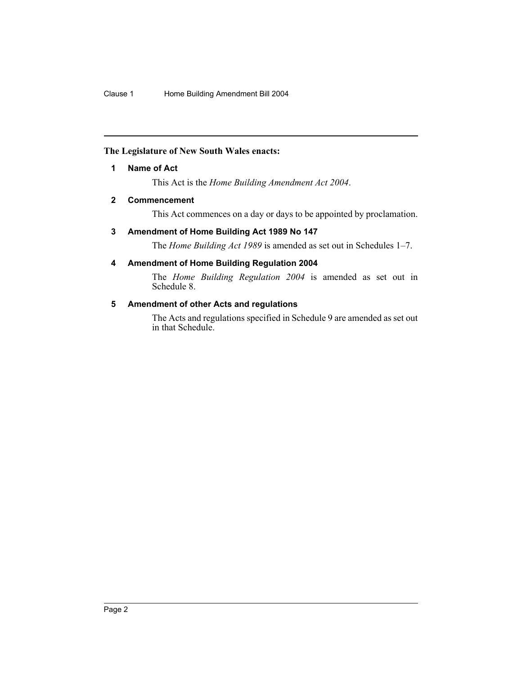#### **The Legislature of New South Wales enacts:**

#### **1 Name of Act**

This Act is the *Home Building Amendment Act 2004*.

#### **2 Commencement**

This Act commences on a day or days to be appointed by proclamation.

#### **3 Amendment of Home Building Act 1989 No 147**

The *Home Building Act 1989* is amended as set out in Schedules 1–7.

## **4 Amendment of Home Building Regulation 2004**

The *Home Building Regulation 2004* is amended as set out in Schedule 8.

#### **5 Amendment of other Acts and regulations**

The Acts and regulations specified in Schedule 9 are amended as set out in that Schedule.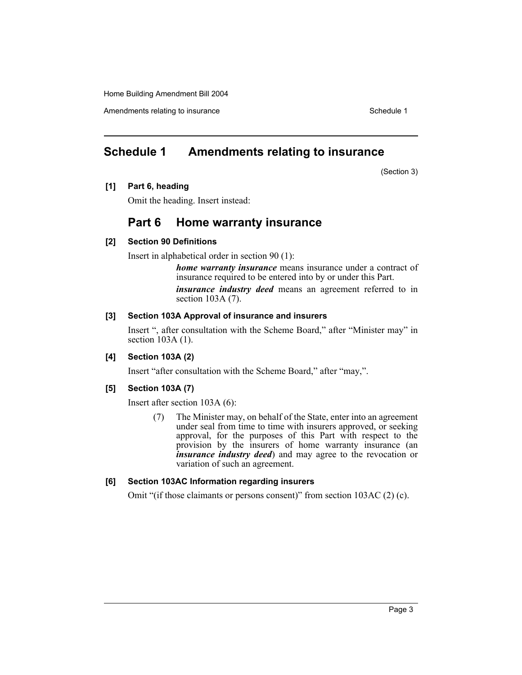Amendments relating to insurance in the set of the set of the Schedule 1

# **Schedule 1 Amendments relating to insurance**

(Section 3)

#### **[1] Part 6, heading**

Omit the heading. Insert instead:

# **Part 6 Home warranty insurance**

#### **[2] Section 90 Definitions**

Insert in alphabetical order in section 90 (1):

*home warranty insurance* means insurance under a contract of insurance required to be entered into by or under this Part.

*insurance industry deed* means an agreement referred to in section 103A (7).

## **[3] Section 103A Approval of insurance and insurers**

Insert ", after consultation with the Scheme Board," after "Minister may" in section 103A (1).

## **[4] Section 103A (2)**

Insert "after consultation with the Scheme Board," after "may,".

## **[5] Section 103A (7)**

Insert after section 103A (6):

(7) The Minister may, on behalf of the State, enter into an agreement under seal from time to time with insurers approved, or seeking approval, for the purposes of this Part with respect to the provision by the insurers of home warranty insurance (an *insurance industry deed*) and may agree to the revocation or variation of such an agreement.

## **[6] Section 103AC Information regarding insurers**

Omit "(if those claimants or persons consent)" from section 103AC (2) (c).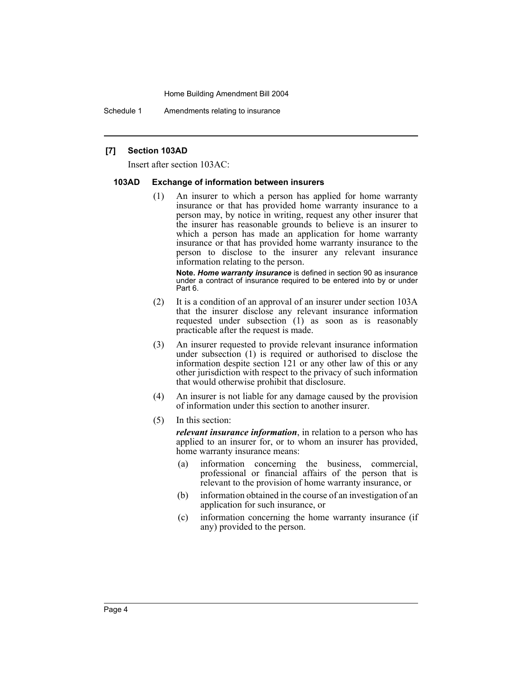Schedule 1 Amendments relating to insurance

#### **[7] Section 103AD**

Insert after section 103AC:

#### **103AD Exchange of information between insurers**

(1) An insurer to which a person has applied for home warranty insurance or that has provided home warranty insurance to a person may, by notice in writing, request any other insurer that the insurer has reasonable grounds to believe is an insurer to which a person has made an application for home warranty insurance or that has provided home warranty insurance to the person to disclose to the insurer any relevant insurance information relating to the person.

**Note.** *Home warranty insurance* is defined in section 90 as insurance under a contract of insurance required to be entered into by or under Part 6.

- (2) It is a condition of an approval of an insurer under section 103A that the insurer disclose any relevant insurance information requested under subsection (1) as soon as is reasonably practicable after the request is made.
- (3) An insurer requested to provide relevant insurance information under subsection (1) is required or authorised to disclose the information despite section 121 or any other law of this or any other jurisdiction with respect to the privacy of such information that would otherwise prohibit that disclosure.
- (4) An insurer is not liable for any damage caused by the provision of information under this section to another insurer.
- (5) In this section:

*relevant insurance information*, in relation to a person who has applied to an insurer for, or to whom an insurer has provided, home warranty insurance means:

- (a) information concerning the business, commercial, professional or financial affairs of the person that is relevant to the provision of home warranty insurance, or
- (b) information obtained in the course of an investigation of an application for such insurance, or
- (c) information concerning the home warranty insurance (if any) provided to the person.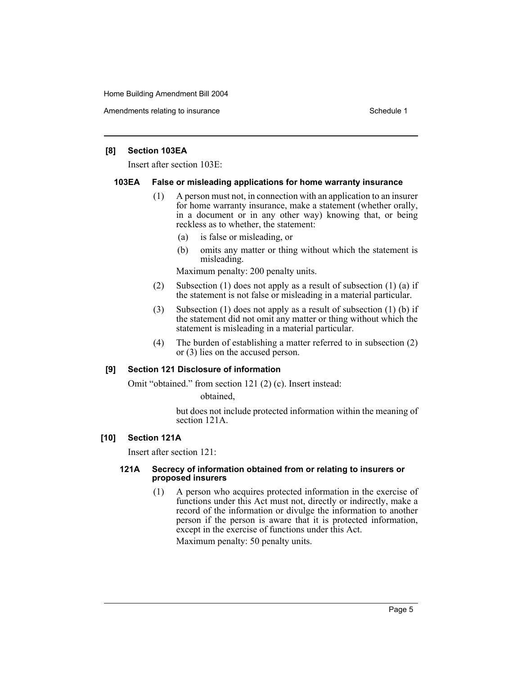Amendments relating to insurance in the set of the set of the Schedule 1

#### **[8] Section 103EA**

Insert after section 103E:

#### **103EA False or misleading applications for home warranty insurance**

- (1) A person must not, in connection with an application to an insurer for home warranty insurance, make a statement (whether orally, in a document or in any other way) knowing that, or being reckless as to whether, the statement:
	- (a) is false or misleading, or
	- (b) omits any matter or thing without which the statement is misleading.

Maximum penalty: 200 penalty units.

- (2) Subsection (1) does not apply as a result of subsection (1) (a) if the statement is not false or misleading in a material particular.
- (3) Subsection (1) does not apply as a result of subsection (1) (b) if the statement did not omit any matter or thing without which the statement is misleading in a material particular.
- (4) The burden of establishing a matter referred to in subsection (2) or (3) lies on the accused person.

#### **[9] Section 121 Disclosure of information**

Omit "obtained." from section 121 (2) (c). Insert instead:

obtained,

but does not include protected information within the meaning of section 121A.

#### **[10] Section 121A**

Insert after section 121:

#### **121A Secrecy of information obtained from or relating to insurers or proposed insurers**

(1) A person who acquires protected information in the exercise of functions under this Act must not, directly or indirectly, make a record of the information or divulge the information to another person if the person is aware that it is protected information, except in the exercise of functions under this Act.

Maximum penalty: 50 penalty units.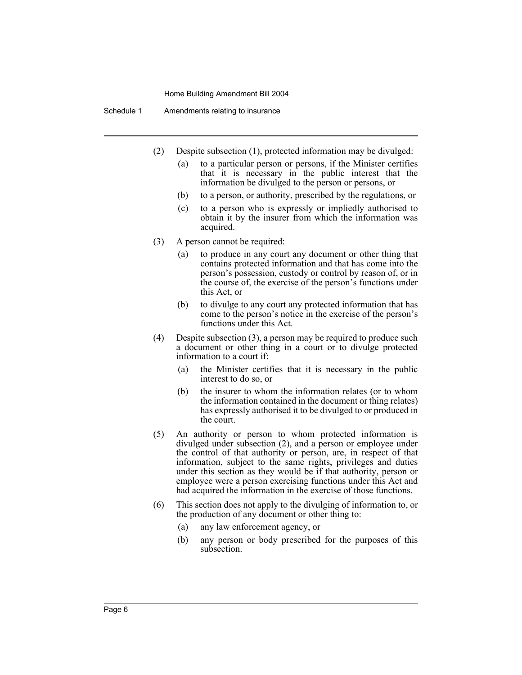Schedule 1 Amendments relating to insurance

- (2) Despite subsection (1), protected information may be divulged:
	- (a) to a particular person or persons, if the Minister certifies that it is necessary in the public interest that the information be divulged to the person or persons, or
	- (b) to a person, or authority, prescribed by the regulations, or
	- (c) to a person who is expressly or impliedly authorised to obtain it by the insurer from which the information was acquired.
- (3) A person cannot be required:
	- (a) to produce in any court any document or other thing that contains protected information and that has come into the person's possession, custody or control by reason of, or in the course of, the exercise of the person's functions under this Act, or
	- (b) to divulge to any court any protected information that has come to the person's notice in the exercise of the person's functions under this Act.
- (4) Despite subsection (3), a person may be required to produce such a document or other thing in a court or to divulge protected information to a court if:
	- (a) the Minister certifies that it is necessary in the public interest to do so, or
	- (b) the insurer to whom the information relates (or to whom the information contained in the document or thing relates) has expressly authorised it to be divulged to or produced in the court.
- (5) An authority or person to whom protected information is divulged under subsection (2), and a person or employee under the control of that authority or person, are, in respect of that information, subject to the same rights, privileges and duties under this section as they would be if that authority, person or employee were a person exercising functions under this Act and had acquired the information in the exercise of those functions.
- (6) This section does not apply to the divulging of information to, or the production of any document or other thing to:
	- (a) any law enforcement agency, or
	- (b) any person or body prescribed for the purposes of this subsection.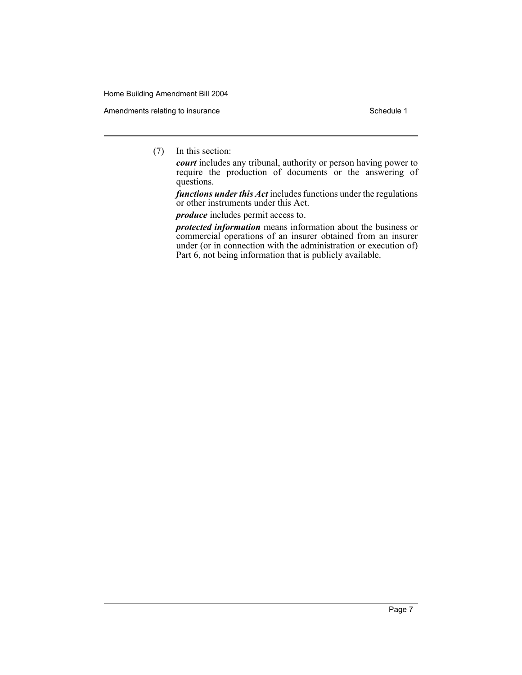Amendments relating to insurance Schedule 1

(7) In this section:

*court* includes any tribunal, authority or person having power to require the production of documents or the answering of questions.

*functions under this Act* includes functions under the regulations or other instruments under this Act.

*produce* includes permit access to.

*protected information* means information about the business or commercial operations of an insurer obtained from an insurer under (or in connection with the administration or execution of) Part 6, not being information that is publicly available.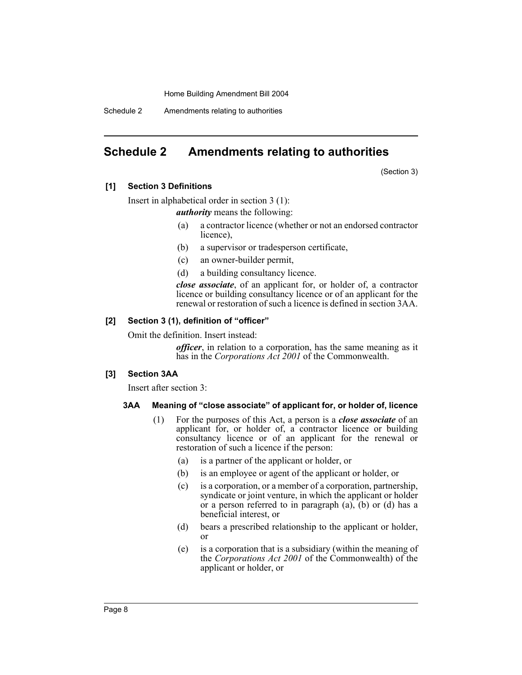Schedule 2 Amendments relating to authorities

# **Schedule 2 Amendments relating to authorities**

(Section 3)

#### **[1] Section 3 Definitions**

Insert in alphabetical order in section 3 (1):

*authority* means the following:

- (a) a contractor licence (whether or not an endorsed contractor licence),
- (b) a supervisor or tradesperson certificate,
- (c) an owner-builder permit,
- (d) a building consultancy licence.

*close associate*, of an applicant for, or holder of, a contractor licence or building consultancy licence or of an applicant for the renewal or restoration of such a licence is defined in section 3AA.

#### **[2] Section 3 (1), definition of "officer"**

Omit the definition. Insert instead:

*officer*, in relation to a corporation, has the same meaning as it has in the *Corporations Act 2001* of the Commonwealth.

#### **[3] Section 3AA**

Insert after section 3:

#### **3AA Meaning of "close associate" of applicant for, or holder of, licence**

- (1) For the purposes of this Act, a person is a *close associate* of an applicant for, or holder of, a contractor licence or building consultancy licence or of an applicant for the renewal or restoration of such a licence if the person:
	- (a) is a partner of the applicant or holder, or
	- (b) is an employee or agent of the applicant or holder, or
	- (c) is a corporation, or a member of a corporation, partnership, syndicate or joint venture, in which the applicant or holder or a person referred to in paragraph  $(a)$ ,  $(b)$  or  $(d)$  has a beneficial interest, or
	- (d) bears a prescribed relationship to the applicant or holder, or
	- (e) is a corporation that is a subsidiary (within the meaning of the *Corporations Act 2001* of the Commonwealth) of the applicant or holder, or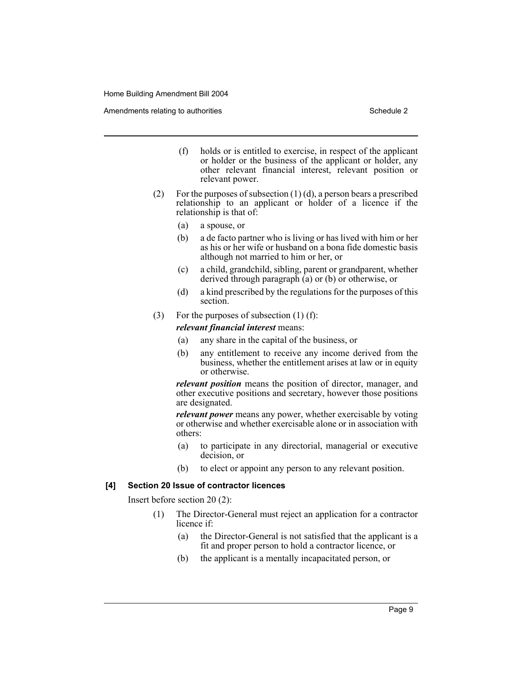Amendments relating to authorities Schedule 2 and the Schedule 2 schedule 2 and 5 schedule 2

- (f) holds or is entitled to exercise, in respect of the applicant or holder or the business of the applicant or holder, any other relevant financial interest, relevant position or relevant power.
- (2) For the purposes of subsection  $(1)$  (d), a person bears a prescribed relationship to an applicant or holder of a licence if the relationship is that of:
	- (a) a spouse, or
	- (b) a de facto partner who is living or has lived with him or her as his or her wife or husband on a bona fide domestic basis although not married to him or her, or
	- (c) a child, grandchild, sibling, parent or grandparent, whether derived through paragraph (a) or (b) or otherwise, or
	- (d) a kind prescribed by the regulations for the purposes of this section.
- (3) For the purposes of subsection  $(1)$  (f):

*relevant financial interest* means:

- (a) any share in the capital of the business, or
- (b) any entitlement to receive any income derived from the business, whether the entitlement arises at law or in equity or otherwise.

*relevant position* means the position of director, manager, and other executive positions and secretary, however those positions are designated.

*relevant power* means any power, whether exercisable by voting or otherwise and whether exercisable alone or in association with others:

- (a) to participate in any directorial, managerial or executive decision, or
- (b) to elect or appoint any person to any relevant position.

#### **[4] Section 20 Issue of contractor licences**

Insert before section 20 (2):

- (1) The Director-General must reject an application for a contractor licence if:
	- (a) the Director-General is not satisfied that the applicant is a fit and proper person to hold a contractor licence, or
	- (b) the applicant is a mentally incapacitated person, or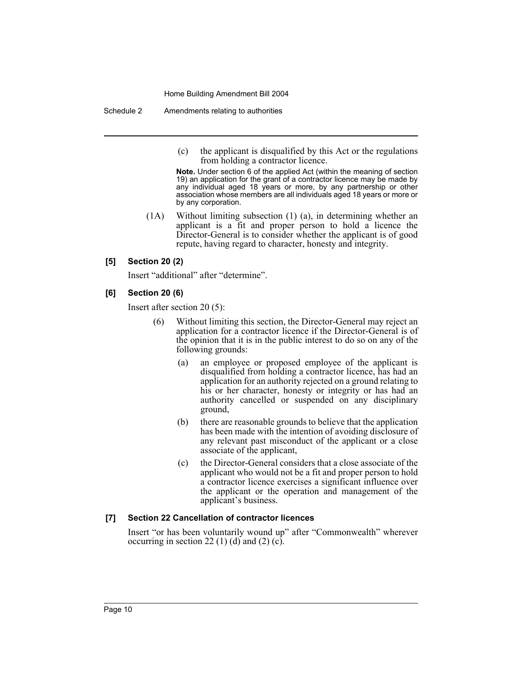Schedule 2 Amendments relating to authorities

(c) the applicant is disqualified by this Act or the regulations from holding a contractor licence.

**Note.** Under section 6 of the applied Act (within the meaning of section 19) an application for the grant of a contractor licence may be made by any individual aged 18 years or more, by any partnership or other association whose members are all individuals aged 18 years or more or by any corporation.

(1A) Without limiting subsection (1) (a), in determining whether an applicant is a fit and proper person to hold a licence the Director-General is to consider whether the applicant is of good repute, having regard to character, honesty and integrity.

#### **[5] Section 20 (2)**

Insert "additional" after "determine".

#### **[6] Section 20 (6)**

Insert after section 20 (5):

- (6) Without limiting this section, the Director-General may reject an application for a contractor licence if the Director-General is of the opinion that it is in the public interest to do so on any of the following grounds:
	- (a) an employee or proposed employee of the applicant is disqualified from holding a contractor licence, has had an application for an authority rejected on a ground relating to his or her character, honesty or integrity or has had an authority cancelled or suspended on any disciplinary ground,
	- (b) there are reasonable grounds to believe that the application has been made with the intention of avoiding disclosure of any relevant past misconduct of the applicant or a close associate of the applicant,
	- (c) the Director-General considers that a close associate of the applicant who would not be a fit and proper person to hold a contractor licence exercises a significant influence over the applicant or the operation and management of the applicant's business.

## **[7] Section 22 Cancellation of contractor licences**

Insert "or has been voluntarily wound up" after "Commonwealth" wherever occurring in section 22 (1) (d) and (2) (c).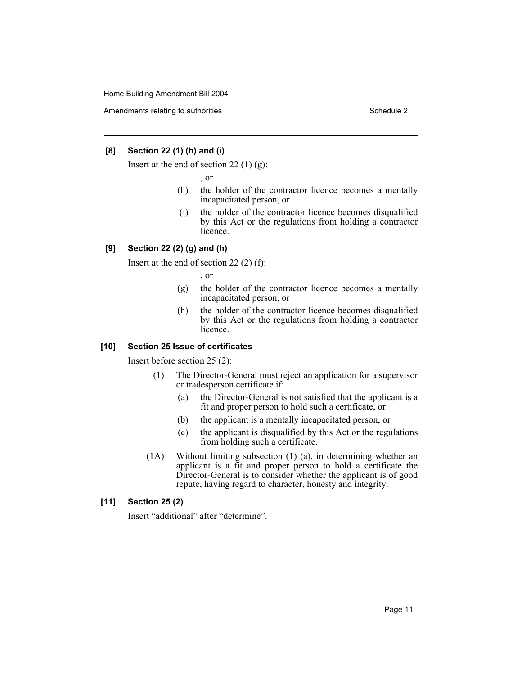Amendments relating to authorities Schedule 2 and the Schedule 2 schedule 2 and 5 schedule 2

#### **[8] Section 22 (1) (h) and (i)**

Insert at the end of section 22 $(1)$  $(g)$ :

, or

- (h) the holder of the contractor licence becomes a mentally incapacitated person, or
- (i) the holder of the contractor licence becomes disqualified by this Act or the regulations from holding a contractor licence.

## **[9] Section 22 (2) (g) and (h)**

Insert at the end of section 22 (2) (f):

, or

- (g) the holder of the contractor licence becomes a mentally incapacitated person, or
- (h) the holder of the contractor licence becomes disqualified by this Act or the regulations from holding a contractor licence.

## **[10] Section 25 Issue of certificates**

Insert before section 25 (2):

- (1) The Director-General must reject an application for a supervisor or tradesperson certificate if:
	- (a) the Director-General is not satisfied that the applicant is a fit and proper person to hold such a certificate, or
	- (b) the applicant is a mentally incapacitated person, or
	- (c) the applicant is disqualified by this Act or the regulations from holding such a certificate.
- (1A) Without limiting subsection (1) (a), in determining whether an applicant is a fit and proper person to hold a certificate the Director-General is to consider whether the applicant is of good repute, having regard to character, honesty and integrity.

## **[11] Section 25 (2)**

Insert "additional" after "determine".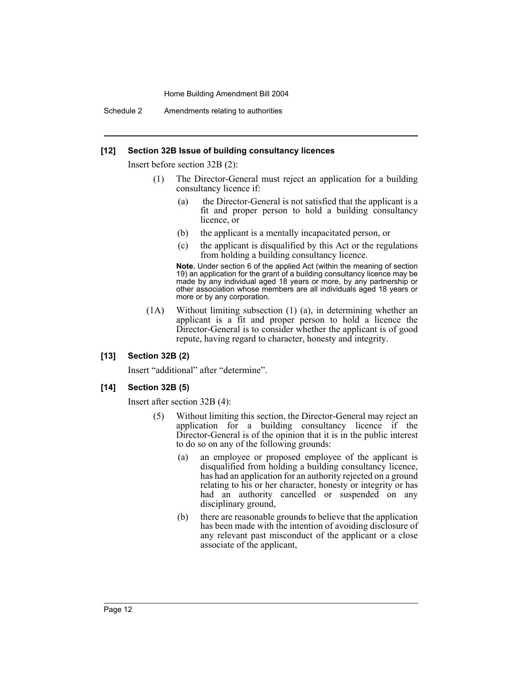Schedule 2 Amendments relating to authorities

#### **[12] Section 32B Issue of building consultancy licences**

Insert before section 32B (2):

- (1) The Director-General must reject an application for a building consultancy licence if:
	- (a) the Director-General is not satisfied that the applicant is a fit and proper person to hold a building consultancy licence, or
	- (b) the applicant is a mentally incapacitated person, or
	- (c) the applicant is disqualified by this Act or the regulations from holding a building consultancy licence.

**Note.** Under section 6 of the applied Act (within the meaning of section 19) an application for the grant of a building consultancy licence may be made by any individual aged 18 years or more, by any partnership or other association whose members are all individuals aged 18 years or more or by any corporation.

(1A) Without limiting subsection (1) (a), in determining whether an applicant is a fit and proper person to hold a licence the Director-General is to consider whether the applicant is of good repute, having regard to character, honesty and integrity.

#### **[13] Section 32B (2)**

Insert "additional" after "determine".

#### **[14] Section 32B (5)**

Insert after section 32B (4):

- (5) Without limiting this section, the Director-General may reject an application for a building consultancy licence if the Director-General is of the opinion that it is in the public interest to do so on any of the following grounds:
	- (a) an employee or proposed employee of the applicant is disqualified from holding a building consultancy licence, has had an application for an authority rejected on a ground relating to his or her character, honesty or integrity or has had an authority cancelled or suspended on any disciplinary ground,
	- (b) there are reasonable grounds to believe that the application has been made with the intention of avoiding disclosure of any relevant past misconduct of the applicant or a close associate of the applicant,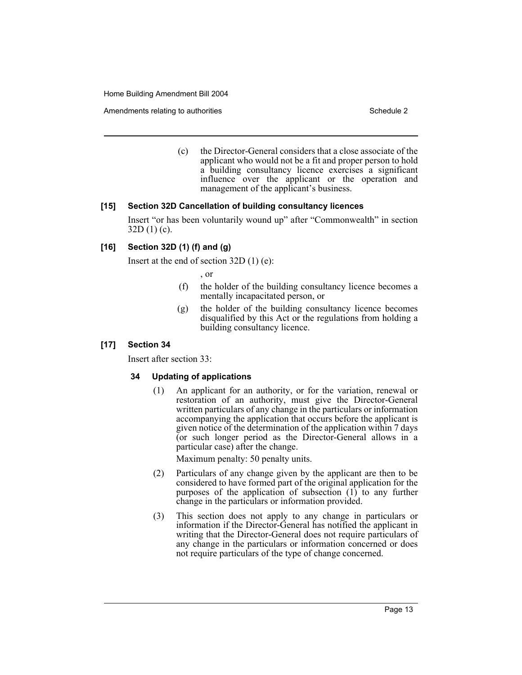Amendments relating to authorities Schedule 2 and the Schedule 2 schedule 2 and 5 schedule 2

(c) the Director-General considers that a close associate of the applicant who would not be a fit and proper person to hold a building consultancy licence exercises a significant influence over the applicant or the operation and management of the applicant's business.

#### **[15] Section 32D Cancellation of building consultancy licences**

Insert "or has been voluntarily wound up" after "Commonwealth" in section  $32D(1)(c)$ .

## **[16] Section 32D (1) (f) and (g)**

Insert at the end of section 32D (1) (e):

, or

- (f) the holder of the building consultancy licence becomes a mentally incapacitated person, or
- (g) the holder of the building consultancy licence becomes disqualified by this Act or the regulations from holding a building consultancy licence.

#### **[17] Section 34**

Insert after section 33:

#### **34 Updating of applications**

(1) An applicant for an authority, or for the variation, renewal or restoration of an authority, must give the Director-General written particulars of any change in the particulars or information accompanying the application that occurs before the applicant is given notice of the determination of the application within 7 days (or such longer period as the Director-General allows in a particular case) after the change.

Maximum penalty: 50 penalty units.

- (2) Particulars of any change given by the applicant are then to be considered to have formed part of the original application for the purposes of the application of subsection  $(1)$  to any further change in the particulars or information provided.
- (3) This section does not apply to any change in particulars or information if the Director-General has notified the applicant in writing that the Director-General does not require particulars of any change in the particulars or information concerned or does not require particulars of the type of change concerned.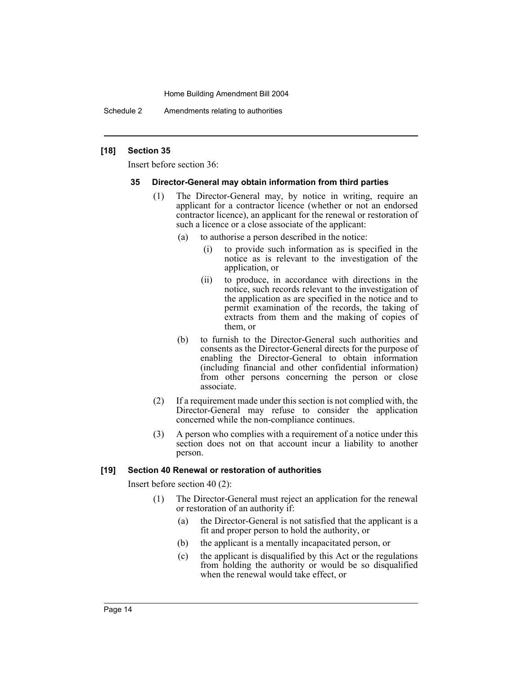Schedule 2 Amendments relating to authorities

#### **[18] Section 35**

Insert before section 36:

#### **35 Director-General may obtain information from third parties**

- (1) The Director-General may, by notice in writing, require an applicant for a contractor licence (whether or not an endorsed contractor licence), an applicant for the renewal or restoration of such a licence or a close associate of the applicant:
	- (a) to authorise a person described in the notice:
		- (i) to provide such information as is specified in the notice as is relevant to the investigation of the application, or
		- (ii) to produce, in accordance with directions in the notice, such records relevant to the investigation of the application as are specified in the notice and to permit examination of the records, the taking of extracts from them and the making of copies of them, or
	- (b) to furnish to the Director-General such authorities and consents as the Director-General directs for the purpose of enabling the Director-General to obtain information (including financial and other confidential information) from other persons concerning the person or close associate.
- (2) If a requirement made under this section is not complied with, the Director-General may refuse to consider the application concerned while the non-compliance continues.
- (3) A person who complies with a requirement of a notice under this section does not on that account incur a liability to another person.

## **[19] Section 40 Renewal or restoration of authorities**

Insert before section 40 (2):

- (1) The Director-General must reject an application for the renewal or restoration of an authority if:
	- (a) the Director-General is not satisfied that the applicant is a fit and proper person to hold the authority, or
	- (b) the applicant is a mentally incapacitated person, or
	- (c) the applicant is disqualified by this Act or the regulations from holding the authority or would be so disqualified when the renewal would take effect, or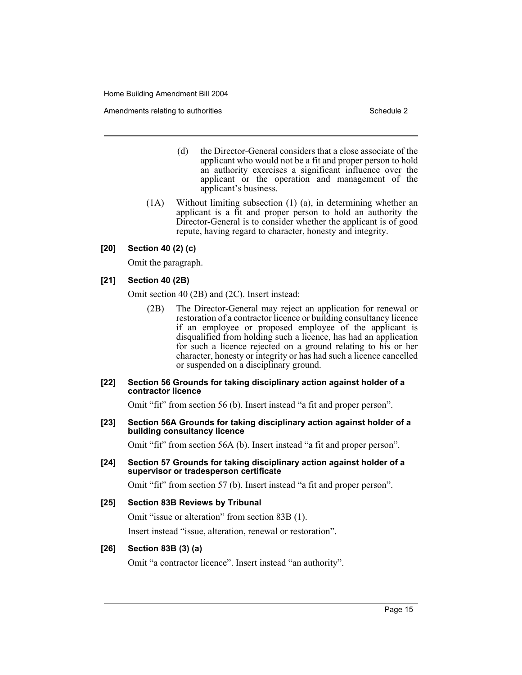Amendments relating to authorities Schedule 2 and the Schedule 2 schedule 2 and 5 schedule 2

- (d) the Director-General considers that a close associate of the applicant who would not be a fit and proper person to hold an authority exercises a significant influence over the applicant or the operation and management of the applicant's business.
- (1A) Without limiting subsection (1) (a), in determining whether an applicant is a fit and proper person to hold an authority the Director-General is to consider whether the applicant is of good repute, having regard to character, honesty and integrity.

#### **[20] Section 40 (2) (c)**

Omit the paragraph.

#### **[21] Section 40 (2B)**

Omit section 40 (2B) and (2C). Insert instead:

(2B) The Director-General may reject an application for renewal or restoration of a contractor licence or building consultancy licence if an employee or proposed employee of the applicant is disqualified from holding such a licence, has had an application for such a licence rejected on a ground relating to his or her character, honesty or integrity or has had such a licence cancelled or suspended on a disciplinary ground.

#### **[22] Section 56 Grounds for taking disciplinary action against holder of a contractor licence**

Omit "fit" from section 56 (b). Insert instead "a fit and proper person".

#### **[23] Section 56A Grounds for taking disciplinary action against holder of a building consultancy licence**

Omit "fit" from section 56A (b). Insert instead "a fit and proper person".

#### **[24] Section 57 Grounds for taking disciplinary action against holder of a supervisor or tradesperson certificate**

Omit "fit" from section 57 (b). Insert instead "a fit and proper person".

#### **[25] Section 83B Reviews by Tribunal**

Omit "issue or alteration" from section 83B (1).

Insert instead "issue, alteration, renewal or restoration".

#### **[26] Section 83B (3) (a)**

Omit "a contractor licence". Insert instead "an authority".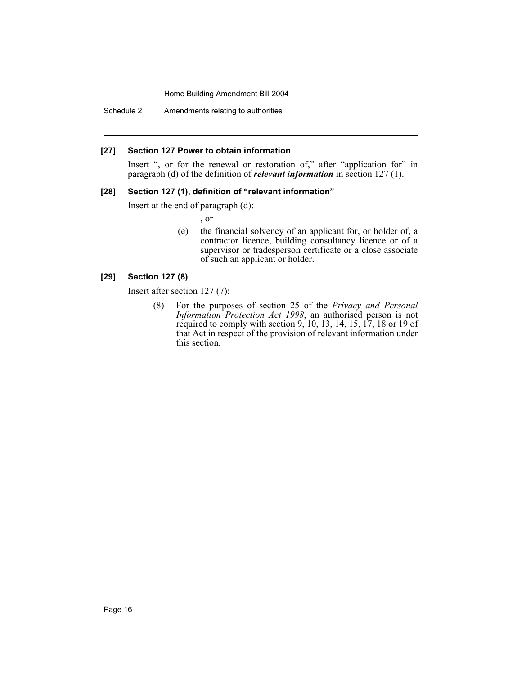Schedule 2 Amendments relating to authorities

#### **[27] Section 127 Power to obtain information**

Insert ", or for the renewal or restoration of," after "application for" in paragraph (d) of the definition of *relevant information* in section 127 (1).

## **[28] Section 127 (1), definition of "relevant information"**

Insert at the end of paragraph (d):

, or

(e) the financial solvency of an applicant for, or holder of, a contractor licence, building consultancy licence or of a supervisor or tradesperson certificate or a close associate of such an applicant or holder.

#### **[29] Section 127 (8)**

Insert after section 127 (7):

(8) For the purposes of section 25 of the *Privacy and Personal Information Protection Act 1998*, an authorised person is not required to comply with section 9, 10, 13, 14, 15, 17, 18 or 19 of that Act in respect of the provision of relevant information under this section.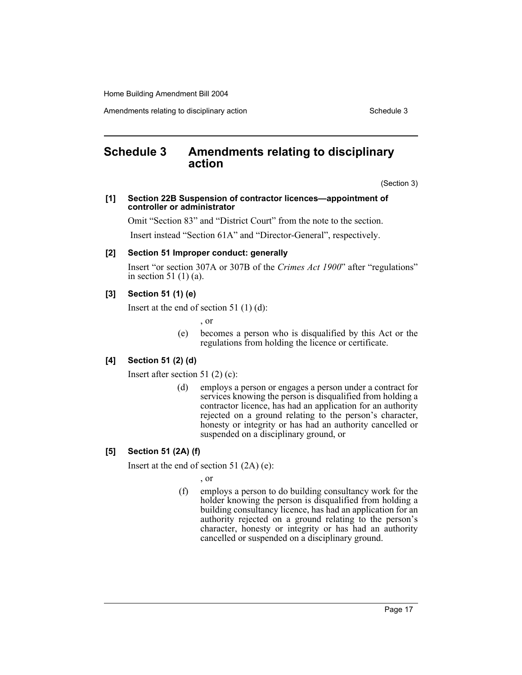Amendments relating to disciplinary action Schedule 3 and Schedule 3

# **Schedule 3 Amendments relating to disciplinary action**

(Section 3)

#### **[1] Section 22B Suspension of contractor licences—appointment of controller or administrator**

Omit "Section 83" and "District Court" from the note to the section.

Insert instead "Section 61A" and "Director-General", respectively.

#### **[2] Section 51 Improper conduct: generally**

Insert "or section 307A or 307B of the *Crimes Act 1900*" after "regulations" in section 51 (1) (a).

#### **[3] Section 51 (1) (e)**

Insert at the end of section 51 (1) (d):

- , or
- (e) becomes a person who is disqualified by this Act or the regulations from holding the licence or certificate.

#### **[4] Section 51 (2) (d)**

Insert after section 51 (2) (c):

(d) employs a person or engages a person under a contract for services knowing the person is disqualified from holding a contractor licence, has had an application for an authority rejected on a ground relating to the person's character, honesty or integrity or has had an authority cancelled or suspended on a disciplinary ground, or

#### **[5] Section 51 (2A) (f)**

Insert at the end of section 51 (2A) (e):

, or

(f) employs a person to do building consultancy work for the holder knowing the person is disqualified from holding a building consultancy licence, has had an application for an authority rejected on a ground relating to the person's character, honesty or integrity or has had an authority cancelled or suspended on a disciplinary ground.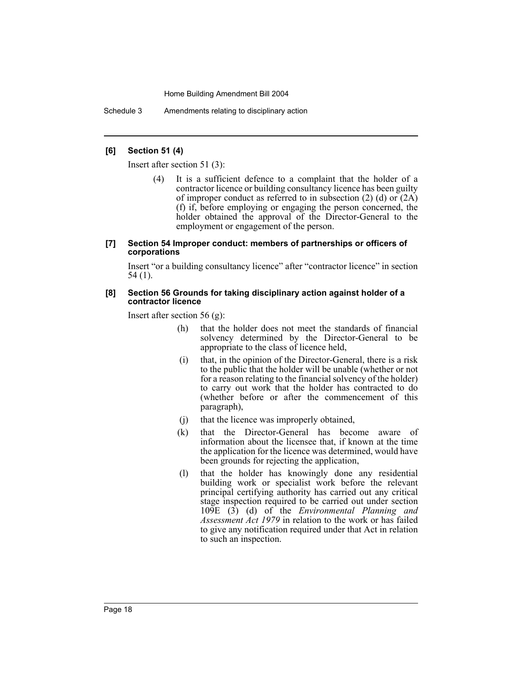Schedule 3 Amendments relating to disciplinary action

#### **[6] Section 51 (4)**

Insert after section 51 (3):

(4) It is a sufficient defence to a complaint that the holder of a contractor licence or building consultancy licence has been guilty of improper conduct as referred to in subsection  $(2)$  (d) or  $(2A)$ (f) if, before employing or engaging the person concerned, the holder obtained the approval of the Director-General to the employment or engagement of the person.

#### **[7] Section 54 Improper conduct: members of partnerships or officers of corporations**

Insert "or a building consultancy licence" after "contractor licence" in section 54 (1).

#### **[8] Section 56 Grounds for taking disciplinary action against holder of a contractor licence**

Insert after section 56 (g):

- (h) that the holder does not meet the standards of financial solvency determined by the Director-General to be appropriate to the class of licence held,
- (i) that, in the opinion of the Director-General, there is a risk to the public that the holder will be unable (whether or not for a reason relating to the financial solvency of the holder) to carry out work that the holder has contracted to do (whether before or after the commencement of this paragraph),
- (j) that the licence was improperly obtained,
- (k) that the Director-General has become aware of information about the licensee that, if known at the time the application for the licence was determined, would have been grounds for rejecting the application,
- (l) that the holder has knowingly done any residential building work or specialist work before the relevant principal certifying authority has carried out any critical stage inspection required to be carried out under section 109E (3) (d) of the *Environmental Planning and Assessment Act 1979* in relation to the work or has failed to give any notification required under that Act in relation to such an inspection.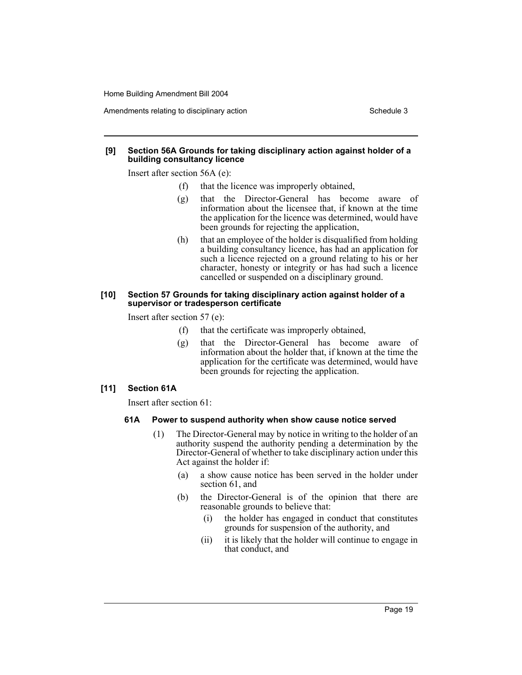#### **[9] Section 56A Grounds for taking disciplinary action against holder of a building consultancy licence**

Insert after section 56A (e):

- (f) that the licence was improperly obtained,
- (g) that the Director-General has become aware of information about the licensee that, if known at the time the application for the licence was determined, would have been grounds for rejecting the application,
- (h) that an employee of the holder is disqualified from holding a building consultancy licence, has had an application for such a licence rejected on a ground relating to his or her character, honesty or integrity or has had such a licence cancelled or suspended on a disciplinary ground.

#### **[10] Section 57 Grounds for taking disciplinary action against holder of a supervisor or tradesperson certificate**

Insert after section 57 (e):

- (f) that the certificate was improperly obtained,
- (g) that the Director-General has become aware of information about the holder that, if known at the time the application for the certificate was determined, would have been grounds for rejecting the application.

#### **[11] Section 61A**

Insert after section 61:

#### **61A Power to suspend authority when show cause notice served**

- (1) The Director-General may by notice in writing to the holder of an authority suspend the authority pending a determination by the Director-General of whether to take disciplinary action under this Act against the holder if:
	- (a) a show cause notice has been served in the holder under section 61, and
	- (b) the Director-General is of the opinion that there are reasonable grounds to believe that:
		- (i) the holder has engaged in conduct that constitutes grounds for suspension of the authority, and
		- (ii) it is likely that the holder will continue to engage in that conduct, and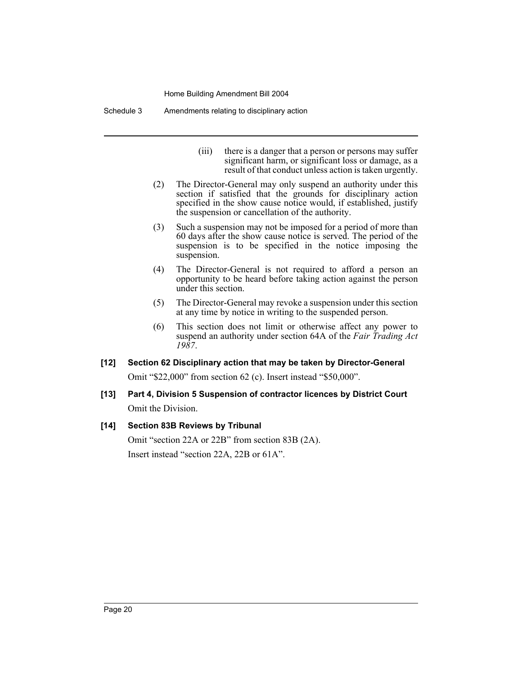Schedule 3 Amendments relating to disciplinary action

- (iii) there is a danger that a person or persons may suffer significant harm, or significant loss or damage, as a result of that conduct unless action is taken urgently.
- (2) The Director-General may only suspend an authority under this section if satisfied that the grounds for disciplinary action specified in the show cause notice would, if established, justify the suspension or cancellation of the authority.
- (3) Such a suspension may not be imposed for a period of more than 60 days after the show cause notice is served. The period of the suspension is to be specified in the notice imposing the suspension.
- (4) The Director-General is not required to afford a person an opportunity to be heard before taking action against the person under this section.
- (5) The Director-General may revoke a suspension under this section at any time by notice in writing to the suspended person.
- (6) This section does not limit or otherwise affect any power to suspend an authority under section 64A of the *Fair Trading Act 1987*.

# **[12] Section 62 Disciplinary action that may be taken by Director-General**

Omit "\$22,000" from section 62 (c). Insert instead "\$50,000".

# **[13] Part 4, Division 5 Suspension of contractor licences by District Court** Omit the Division.

## **[14] Section 83B Reviews by Tribunal**

Omit "section 22A or 22B" from section 83B (2A). Insert instead "section 22A, 22B or 61A".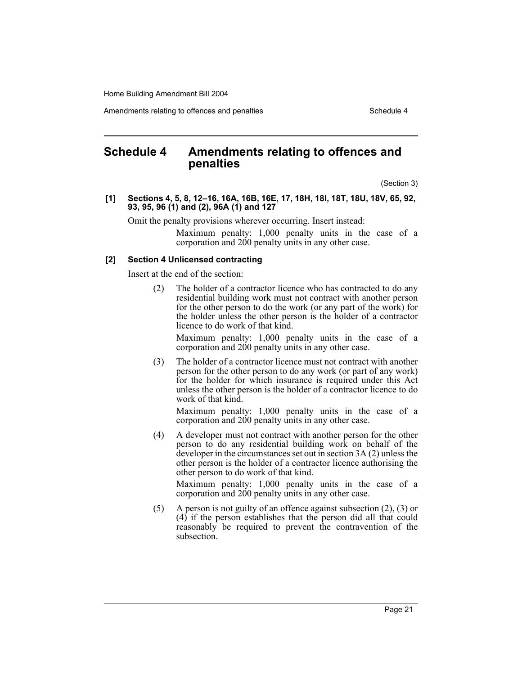Amendments relating to offences and penalties Schedule 4

# **Schedule 4 Amendments relating to offences and penalties**

(Section 3)

**[1] Sections 4, 5, 8, 12–16, 16A, 16B, 16E, 17, 18H, 18I, 18T, 18U, 18V, 65, 92, 93, 95, 96 (1) and (2), 96A (1) and 127**

Omit the penalty provisions wherever occurring. Insert instead:

Maximum penalty: 1,000 penalty units in the case of a corporation and 200 penalty units in any other case.

#### **[2] Section 4 Unlicensed contracting**

Insert at the end of the section:

(2) The holder of a contractor licence who has contracted to do any residential building work must not contract with another person for the other person to do the work (or any part of the work) for the holder unless the other person is the holder of a contractor licence to do work of that kind.

Maximum penalty: 1,000 penalty units in the case of a corporation and 200 penalty units in any other case.

(3) The holder of a contractor licence must not contract with another person for the other person to do any work (or part of any work) for the holder for which insurance is required under this Act unless the other person is the holder of a contractor licence to do work of that kind.

Maximum penalty: 1,000 penalty units in the case of a corporation and 200 penalty units in any other case.

(4) A developer must not contract with another person for the other person to do any residential building work on behalf of the developer in the circumstances set out in section 3A (2) unless the other person is the holder of a contractor licence authorising the other person to do work of that kind.

Maximum penalty: 1,000 penalty units in the case of a corporation and 200 penalty units in any other case.

(5) A person is not guilty of an offence against subsection (2), (3) or (4) if the person establishes that the person did all that could reasonably be required to prevent the contravention of the subsection.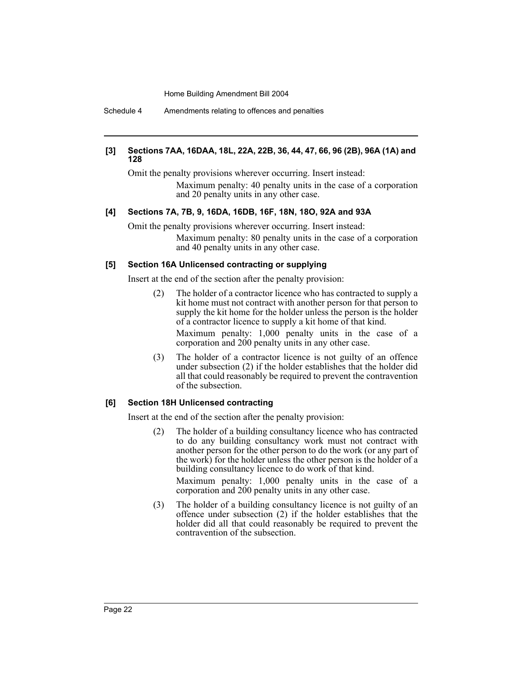Schedule 4 Amendments relating to offences and penalties

#### **[3] Sections 7AA, 16DAA, 18L, 22A, 22B, 36, 44, 47, 66, 96 (2B), 96A (1A) and 128**

Omit the penalty provisions wherever occurring. Insert instead: Maximum penalty: 40 penalty units in the case of a corporation and 20 penalty units in any other case.

## **[4] Sections 7A, 7B, 9, 16DA, 16DB, 16F, 18N, 18O, 92A and 93A**

Omit the penalty provisions wherever occurring. Insert instead:

Maximum penalty: 80 penalty units in the case of a corporation and 40 penalty units in any other case.

#### **[5] Section 16A Unlicensed contracting or supplying**

Insert at the end of the section after the penalty provision:

- (2) The holder of a contractor licence who has contracted to supply a kit home must not contract with another person for that person to supply the kit home for the holder unless the person is the holder of a contractor licence to supply a kit home of that kind. Maximum penalty: 1,000 penalty units in the case of a corporation and 200 penalty units in any other case.
- (3) The holder of a contractor licence is not guilty of an offence under subsection (2) if the holder establishes that the holder did all that could reasonably be required to prevent the contravention of the subsection.

#### **[6] Section 18H Unlicensed contracting**

Insert at the end of the section after the penalty provision:

(2) The holder of a building consultancy licence who has contracted to do any building consultancy work must not contract with another person for the other person to do the work (or any part of the work) for the holder unless the other person is the holder of a building consultancy licence to do work of that kind.

Maximum penalty: 1,000 penalty units in the case of a corporation and 200 penalty units in any other case.

(3) The holder of a building consultancy licence is not guilty of an offence under subsection (2) if the holder establishes that the holder did all that could reasonably be required to prevent the contravention of the subsection.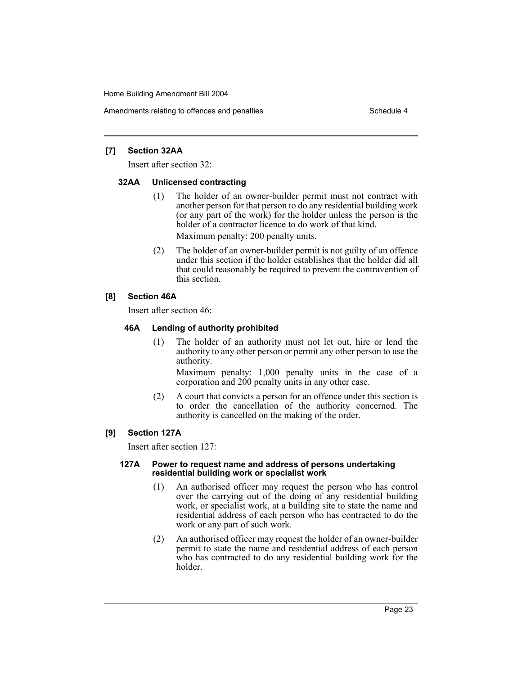Amendments relating to offences and penalties Schedule 4

#### **[7] Section 32AA**

Insert after section 32:

#### **32AA Unlicensed contracting**

- (1) The holder of an owner-builder permit must not contract with another person for that person to do any residential building work (or any part of the work) for the holder unless the person is the holder of a contractor licence to do work of that kind. Maximum penalty: 200 penalty units.
- (2) The holder of an owner-builder permit is not guilty of an offence under this section if the holder establishes that the holder did all that could reasonably be required to prevent the contravention of this section.

## **[8] Section 46A**

Insert after section 46:

## **46A Lending of authority prohibited**

(1) The holder of an authority must not let out, hire or lend the authority to any other person or permit any other person to use the authority.

Maximum penalty: 1,000 penalty units in the case of a corporation and 200 penalty units in any other case.

(2) A court that convicts a person for an offence under this section is to order the cancellation of the authority concerned. The authority is cancelled on the making of the order.

## **[9] Section 127A**

Insert after section 127:

#### **127A Power to request name and address of persons undertaking residential building work or specialist work**

- (1) An authorised officer may request the person who has control over the carrying out of the doing of any residential building work, or specialist work, at a building site to state the name and residential address of each person who has contracted to do the work or any part of such work.
- (2) An authorised officer may request the holder of an owner-builder permit to state the name and residential address of each person who has contracted to do any residential building work for the holder.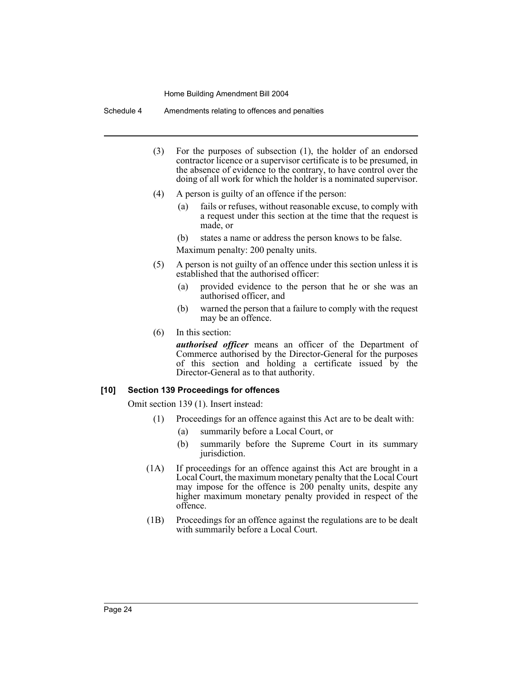Schedule 4 Amendments relating to offences and penalties

- (3) For the purposes of subsection (1), the holder of an endorsed contractor licence or a supervisor certificate is to be presumed, in the absence of evidence to the contrary, to have control over the doing of all work for which the holder is a nominated supervisor.
- (4) A person is guilty of an offence if the person:
	- fails or refuses, without reasonable excuse, to comply with a request under this section at the time that the request is made, or
	- (b) states a name or address the person knows to be false.
	- Maximum penalty: 200 penalty units.
- (5) A person is not guilty of an offence under this section unless it is established that the authorised officer:
	- (a) provided evidence to the person that he or she was an authorised officer, and
	- (b) warned the person that a failure to comply with the request may be an offence.
- (6) In this section:

*authorised officer* means an officer of the Department of Commerce authorised by the Director-General for the purposes of this section and holding a certificate issued by the Director-General as to that authority.

#### **[10] Section 139 Proceedings for offences**

Omit section 139 (1). Insert instead:

- (1) Proceedings for an offence against this Act are to be dealt with:
	- (a) summarily before a Local Court, or
	- (b) summarily before the Supreme Court in its summary jurisdiction.
- (1A) If proceedings for an offence against this Act are brought in a Local Court, the maximum monetary penalty that the Local Court may impose for the offence is 200 penalty units, despite any higher maximum monetary penalty provided in respect of the offence.
- (1B) Proceedings for an offence against the regulations are to be dealt with summarily before a Local Court.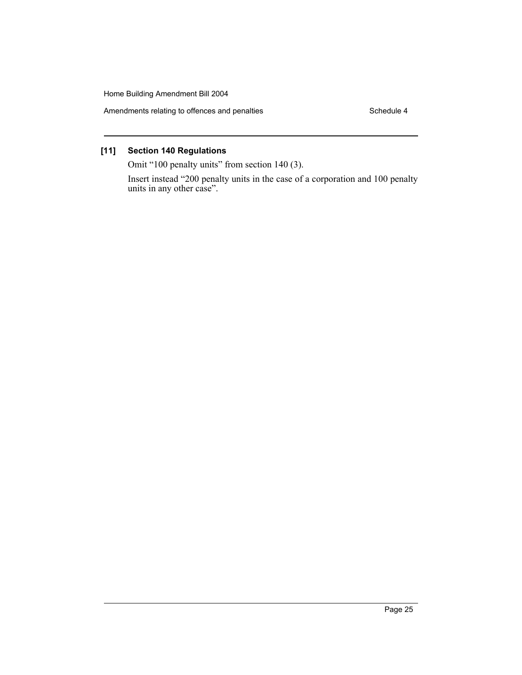Amendments relating to offences and penalties Schedule 4

# **[11] Section 140 Regulations**

Omit "100 penalty units" from section 140 (3).

Insert instead "200 penalty units in the case of a corporation and 100 penalty units in any other case".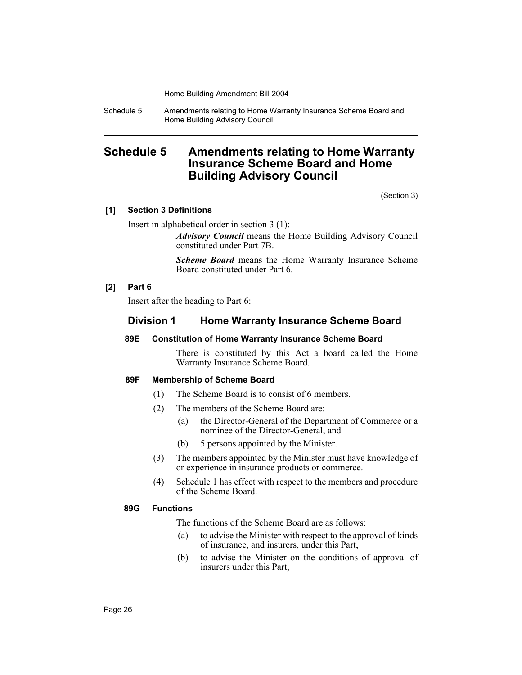Schedule 5 Amendments relating to Home Warranty Insurance Scheme Board and Home Building Advisory Council

# **Schedule 5 Amendments relating to Home Warranty Insurance Scheme Board and Home Building Advisory Council**

(Section 3)

#### **[1] Section 3 Definitions**

Insert in alphabetical order in section 3 (1):

*Advisory Council* means the Home Building Advisory Council constituted under Part 7B.

*Scheme Board* means the Home Warranty Insurance Scheme Board constituted under Part 6.

#### **[2] Part 6**

Insert after the heading to Part 6:

## **Division 1 Home Warranty Insurance Scheme Board**

#### **89E Constitution of Home Warranty Insurance Scheme Board**

There is constituted by this Act a board called the Home Warranty Insurance Scheme Board.

#### **89F Membership of Scheme Board**

- (1) The Scheme Board is to consist of 6 members.
- (2) The members of the Scheme Board are:
	- (a) the Director-General of the Department of Commerce or a nominee of the Director-General, and
	- (b) 5 persons appointed by the Minister.
- (3) The members appointed by the Minister must have knowledge of or experience in insurance products or commerce.
- (4) Schedule 1 has effect with respect to the members and procedure of the Scheme Board.

#### **89G Functions**

The functions of the Scheme Board are as follows:

- (a) to advise the Minister with respect to the approval of kinds of insurance, and insurers, under this Part,
- (b) to advise the Minister on the conditions of approval of insurers under this Part,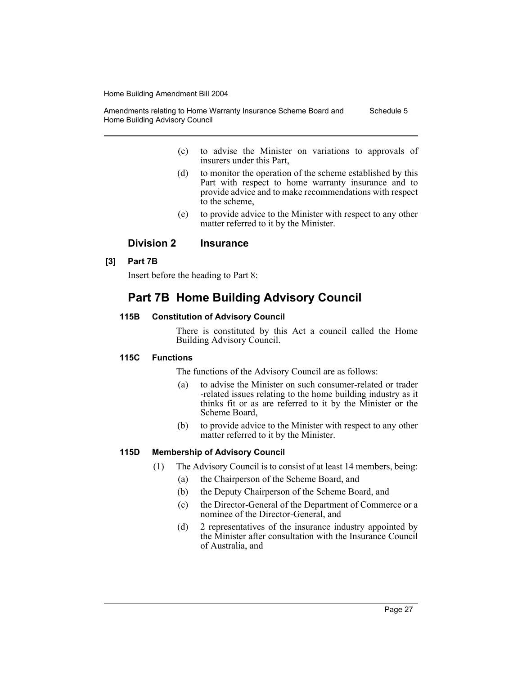Amendments relating to Home Warranty Insurance Scheme Board and Home Building Advisory Council Schedule 5

- (c) to advise the Minister on variations to approvals of insurers under this Part,
- (d) to monitor the operation of the scheme established by this Part with respect to home warranty insurance and to provide advice and to make recommendations with respect to the scheme,
- (e) to provide advice to the Minister with respect to any other matter referred to it by the Minister.

## **Division 2 Insurance**

## **[3] Part 7B**

Insert before the heading to Part 8:

# **Part 7B Home Building Advisory Council**

## **115B Constitution of Advisory Council**

There is constituted by this Act a council called the Home Building Advisory Council.

## **115C Functions**

The functions of the Advisory Council are as follows:

- (a) to advise the Minister on such consumer-related or trader -related issues relating to the home building industry as it thinks fit or as are referred to it by the Minister or the Scheme Board,
- (b) to provide advice to the Minister with respect to any other matter referred to it by the Minister.

## **115D Membership of Advisory Council**

- (1) The Advisory Council is to consist of at least 14 members, being:
	- (a) the Chairperson of the Scheme Board, and
	- (b) the Deputy Chairperson of the Scheme Board, and
	- (c) the Director-General of the Department of Commerce or a nominee of the Director-General, and
	- (d) 2 representatives of the insurance industry appointed by the Minister after consultation with the Insurance Council of Australia, and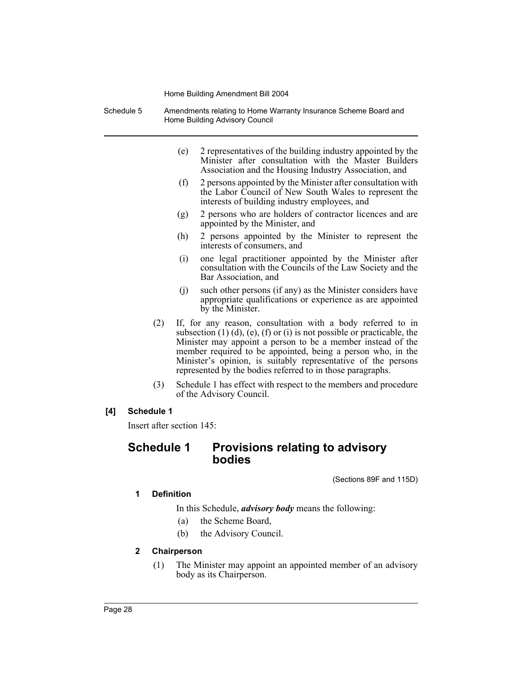| Schedule 5             | Amendments relating to Home Warranty Insurance Scheme Board and<br>Home Building Advisory Council |                                                                                                                                                                                                                                                                                                                                                                                                                 |                                                                                                                                                                              |  |  |
|------------------------|---------------------------------------------------------------------------------------------------|-----------------------------------------------------------------------------------------------------------------------------------------------------------------------------------------------------------------------------------------------------------------------------------------------------------------------------------------------------------------------------------------------------------------|------------------------------------------------------------------------------------------------------------------------------------------------------------------------------|--|--|
|                        |                                                                                                   | (e)                                                                                                                                                                                                                                                                                                                                                                                                             | 2 representatives of the building industry appointed by the<br>Minister after consultation with the Master Builders<br>Association and the Housing Industry Association, and |  |  |
|                        |                                                                                                   | (f)                                                                                                                                                                                                                                                                                                                                                                                                             | 2 persons appointed by the Minister after consultation with<br>the Labor Council of New South Wales to represent the<br>interests of building industry employees, and        |  |  |
|                        |                                                                                                   | (g)                                                                                                                                                                                                                                                                                                                                                                                                             | 2 persons who are holders of contractor licences and are<br>appointed by the Minister, and                                                                                   |  |  |
|                        |                                                                                                   | (h)                                                                                                                                                                                                                                                                                                                                                                                                             | 2 persons appointed by the Minister to represent the<br>interests of consumers, and                                                                                          |  |  |
|                        |                                                                                                   | (i)                                                                                                                                                                                                                                                                                                                                                                                                             | one legal practitioner appointed by the Minister after<br>consultation with the Councils of the Law Society and the<br>Bar Association, and                                  |  |  |
|                        |                                                                                                   | (i)                                                                                                                                                                                                                                                                                                                                                                                                             | such other persons (if any) as the Minister considers have<br>appropriate qualifications or experience as are appointed<br>by the Minister.                                  |  |  |
|                        | (2)                                                                                               | If, for any reason, consultation with a body referred to in<br>subsection $(1)$ $(d)$ , $(e)$ , $(f)$ or $(i)$ is not possible or practicable, the<br>Minister may appoint a person to be a member instead of the<br>member required to be appointed, being a person who, in the<br>Minister's opinion, is suitably representative of the persons<br>represented by the bodies referred to in those paragraphs. |                                                                                                                                                                              |  |  |
|                        | (3)                                                                                               |                                                                                                                                                                                                                                                                                                                                                                                                                 | Schedule 1 has effect with respect to the members and procedure<br>of the Advisory Council.                                                                                  |  |  |
| [4]                    | Schedule 1                                                                                        |                                                                                                                                                                                                                                                                                                                                                                                                                 |                                                                                                                                                                              |  |  |
|                        | Insert after section 145:                                                                         |                                                                                                                                                                                                                                                                                                                                                                                                                 |                                                                                                                                                                              |  |  |
|                        | <b>Schedule 1</b>                                                                                 |                                                                                                                                                                                                                                                                                                                                                                                                                 | <b>Provisions relating to advisory</b><br>bodies                                                                                                                             |  |  |
|                        |                                                                                                   |                                                                                                                                                                                                                                                                                                                                                                                                                 | (Sections 89F and 115D)                                                                                                                                                      |  |  |
| 1<br><b>Definition</b> |                                                                                                   |                                                                                                                                                                                                                                                                                                                                                                                                                 |                                                                                                                                                                              |  |  |
|                        |                                                                                                   |                                                                                                                                                                                                                                                                                                                                                                                                                 | In this Schedule, <i>advisory body</i> means the following:                                                                                                                  |  |  |

- (a) the Scheme Board,
- (b) the Advisory Council.
- **2 Chairperson**
	- (1) The Minister may appoint an appointed member of an advisory body as its Chairperson.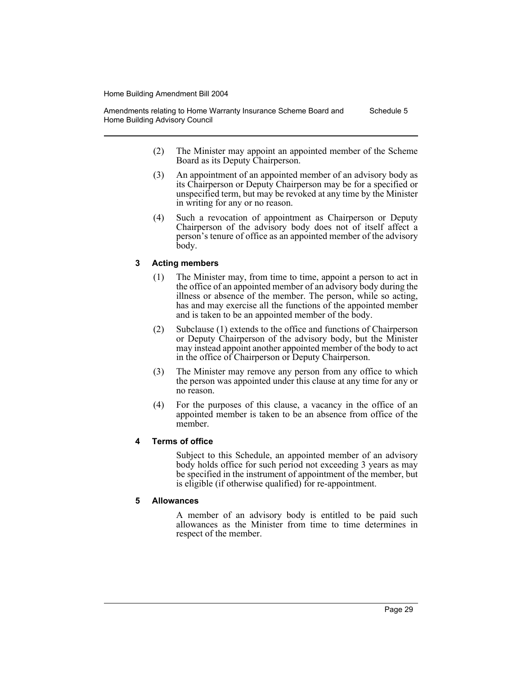Amendments relating to Home Warranty Insurance Scheme Board and Home Building Advisory Council Schedule 5

- (2) The Minister may appoint an appointed member of the Scheme Board as its Deputy Chairperson.
- (3) An appointment of an appointed member of an advisory body as its Chairperson or Deputy Chairperson may be for a specified or unspecified term, but may be revoked at any time by the Minister in writing for any or no reason.
- (4) Such a revocation of appointment as Chairperson or Deputy Chairperson of the advisory body does not of itself affect a person's tenure of office as an appointed member of the advisory body.

## **3 Acting members**

- (1) The Minister may, from time to time, appoint a person to act in the office of an appointed member of an advisory body during the illness or absence of the member. The person, while so acting, has and may exercise all the functions of the appointed member and is taken to be an appointed member of the body.
- (2) Subclause (1) extends to the office and functions of Chairperson or Deputy Chairperson of the advisory body, but the Minister may instead appoint another appointed member of the body to act in the office of Chairperson or Deputy Chairperson.
- (3) The Minister may remove any person from any office to which the person was appointed under this clause at any time for any or no reason.
- (4) For the purposes of this clause, a vacancy in the office of an appointed member is taken to be an absence from office of the member.

## **4 Terms of office**

Subject to this Schedule, an appointed member of an advisory body holds office for such period not exceeding 3 years as may be specified in the instrument of appointment of the member, but is eligible (if otherwise qualified) for re-appointment.

## **5 Allowances**

A member of an advisory body is entitled to be paid such allowances as the Minister from time to time determines in respect of the member.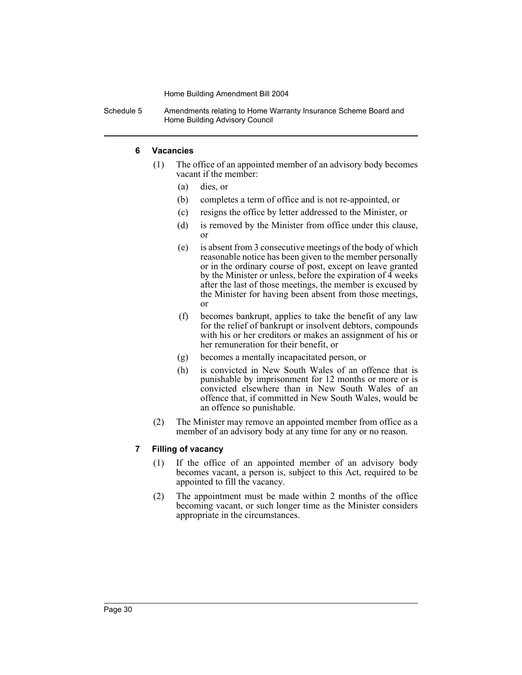Schedule 5 Amendments relating to Home Warranty Insurance Scheme Board and Home Building Advisory Council

## **6 Vacancies**

- (1) The office of an appointed member of an advisory body becomes vacant if the member:
	- (a) dies, or
	- (b) completes a term of office and is not re-appointed, or
	- (c) resigns the office by letter addressed to the Minister, or
	- (d) is removed by the Minister from office under this clause, or
	- (e) is absent from 3 consecutive meetings of the body of which reasonable notice has been given to the member personally or in the ordinary course of post, except on leave granted by the Minister or unless, before the expiration of 4 weeks after the last of those meetings, the member is excused by the Minister for having been absent from those meetings, or
	- (f) becomes bankrupt, applies to take the benefit of any law for the relief of bankrupt or insolvent debtors, compounds with his or her creditors or makes an assignment of his or her remuneration for their benefit, or
	- (g) becomes a mentally incapacitated person, or
	- (h) is convicted in New South Wales of an offence that is punishable by imprisonment for 12 months or more or is convicted elsewhere than in New South Wales of an offence that, if committed in New South Wales, would be an offence so punishable.
- (2) The Minister may remove an appointed member from office as a member of an advisory body at any time for any or no reason.

## **7 Filling of vacancy**

- (1) If the office of an appointed member of an advisory body becomes vacant, a person is, subject to this Act, required to be appointed to fill the vacancy.
- (2) The appointment must be made within 2 months of the office becoming vacant, or such longer time as the Minister considers appropriate in the circumstances.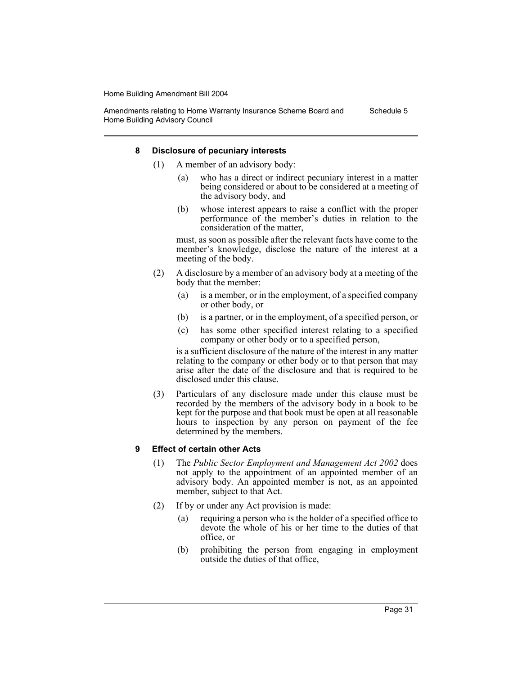Amendments relating to Home Warranty Insurance Scheme Board and Home Building Advisory Council Schedule 5

#### **8 Disclosure of pecuniary interests**

- (1) A member of an advisory body:
	- (a) who has a direct or indirect pecuniary interest in a matter being considered or about to be considered at a meeting of the advisory body, and
	- (b) whose interest appears to raise a conflict with the proper performance of the member's duties in relation to the consideration of the matter,

must, as soon as possible after the relevant facts have come to the member's knowledge, disclose the nature of the interest at a meeting of the body.

- (2) A disclosure by a member of an advisory body at a meeting of the body that the member:
	- (a) is a member, or in the employment, of a specified company or other body, or
	- (b) is a partner, or in the employment, of a specified person, or
	- (c) has some other specified interest relating to a specified company or other body or to a specified person,

is a sufficient disclosure of the nature of the interest in any matter relating to the company or other body or to that person that may arise after the date of the disclosure and that is required to be disclosed under this clause.

(3) Particulars of any disclosure made under this clause must be recorded by the members of the advisory body in a book to be kept for the purpose and that book must be open at all reasonable hours to inspection by any person on payment of the fee determined by the members.

#### **9 Effect of certain other Acts**

- (1) The *Public Sector Employment and Management Act 2002* does not apply to the appointment of an appointed member of an advisory body. An appointed member is not, as an appointed member, subject to that Act.
- (2) If by or under any Act provision is made:
	- (a) requiring a person who is the holder of a specified office to devote the whole of his or her time to the duties of that office, or
	- (b) prohibiting the person from engaging in employment outside the duties of that office,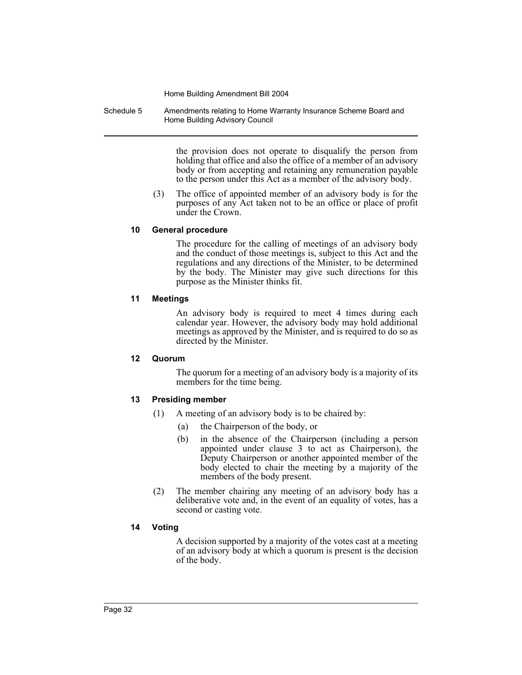Schedule 5 Amendments relating to Home Warranty Insurance Scheme Board and Home Building Advisory Council

> the provision does not operate to disqualify the person from holding that office and also the office of a member of an advisory body or from accepting and retaining any remuneration payable to the person under this Act as a member of the advisory body.

(3) The office of appointed member of an advisory body is for the purposes of any Act taken not to be an office or place of profit under the Crown.

#### **10 General procedure**

The procedure for the calling of meetings of an advisory body and the conduct of those meetings is, subject to this Act and the regulations and any directions of the Minister, to be determined by the body. The Minister may give such directions for this purpose as the Minister thinks fit.

#### **11 Meetings**

An advisory body is required to meet 4 times during each calendar year. However, the advisory body may hold additional meetings as approved by the Minister, and is required to do so as directed by the Minister.

#### **12 Quorum**

The quorum for a meeting of an advisory body is a majority of its members for the time being.

#### **13 Presiding member**

- (1) A meeting of an advisory body is to be chaired by:
	- (a) the Chairperson of the body, or
	- (b) in the absence of the Chairperson (including a person appointed under clause 3 to act as Chairperson), the Deputy Chairperson or another appointed member of the body elected to chair the meeting by a majority of the members of the body present.
- (2) The member chairing any meeting of an advisory body has a deliberative vote and, in the event of an equality of votes, has a second or casting vote.

#### **14 Voting**

A decision supported by a majority of the votes cast at a meeting of an advisory body at which a quorum is present is the decision of the body.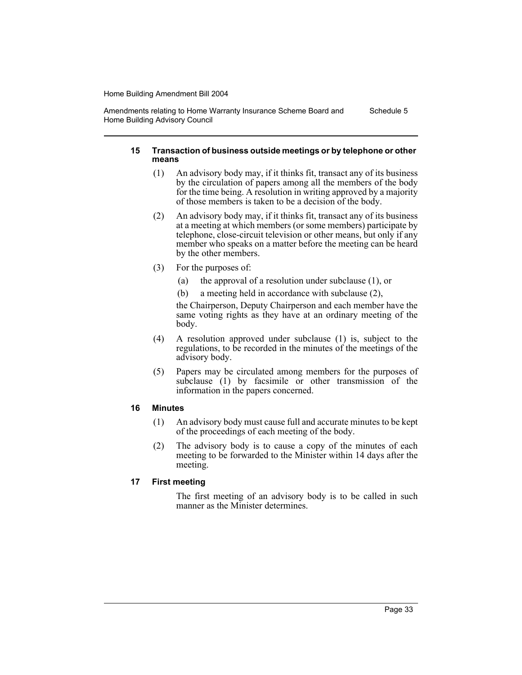Amendments relating to Home Warranty Insurance Scheme Board and Home Building Advisory Council Schedule 5

#### **15 Transaction of business outside meetings or by telephone or other means**

- (1) An advisory body may, if it thinks fit, transact any of its business by the circulation of papers among all the members of the body for the time being. A resolution in writing approved by a majority of those members is taken to be a decision of the body.
- (2) An advisory body may, if it thinks fit, transact any of its business at a meeting at which members (or some members) participate by telephone, close-circuit television or other means, but only if any member who speaks on a matter before the meeting can be heard by the other members.
- (3) For the purposes of:
	- (a) the approval of a resolution under subclause (1), or
	- (b) a meeting held in accordance with subclause (2),

the Chairperson, Deputy Chairperson and each member have the same voting rights as they have at an ordinary meeting of the body.

- (4) A resolution approved under subclause (1) is, subject to the regulations, to be recorded in the minutes of the meetings of the advisory body.
- (5) Papers may be circulated among members for the purposes of subclause (1) by facsimile or other transmission of the information in the papers concerned.

## **16 Minutes**

- (1) An advisory body must cause full and accurate minutes to be kept of the proceedings of each meeting of the body.
- (2) The advisory body is to cause a copy of the minutes of each meeting to be forwarded to the Minister within 14 days after the meeting.

## **17 First meeting**

The first meeting of an advisory body is to be called in such manner as the Minister determines.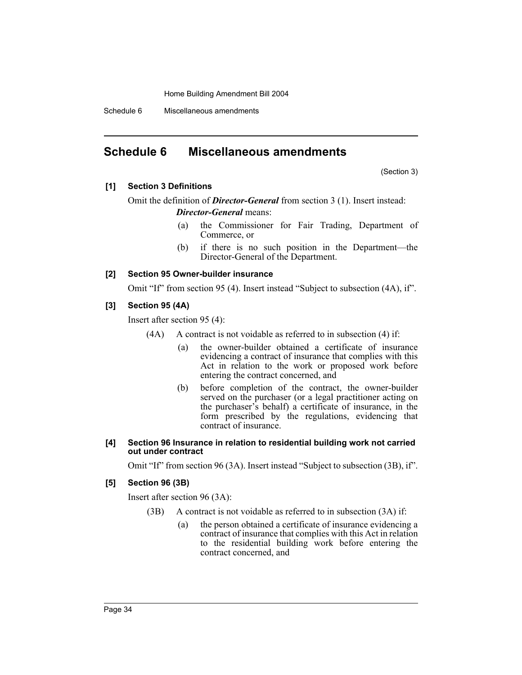Schedule 6 Miscellaneous amendments

# **Schedule 6 Miscellaneous amendments**

(Section 3)

#### **[1] Section 3 Definitions**

Omit the definition of *Director-General* from section 3 (1). Insert instead:

#### *Director-General* means:

- (a) the Commissioner for Fair Trading, Department of Commerce, or
- (b) if there is no such position in the Department—the Director-General of the Department.

#### **[2] Section 95 Owner-builder insurance**

Omit "If" from section 95 (4). Insert instead "Subject to subsection (4A), if".

#### **[3] Section 95 (4A)**

Insert after section 95 (4):

- $(AA)$  A contract is not voidable as referred to in subsection  $(4)$  if:
	- (a) the owner-builder obtained a certificate of insurance evidencing a contract of insurance that complies with this Act in relation to the work or proposed work before entering the contract concerned, and
	- (b) before completion of the contract, the owner-builder served on the purchaser (or a legal practitioner acting on the purchaser's behalf) a certificate of insurance, in the form prescribed by the regulations, evidencing that contract of insurance.

#### **[4] Section 96 Insurance in relation to residential building work not carried out under contract**

Omit "If" from section 96 (3A). Insert instead "Subject to subsection (3B), if".

## **[5] Section 96 (3B)**

Insert after section 96 (3A):

- (3B) A contract is not voidable as referred to in subsection (3A) if:
	- (a) the person obtained a certificate of insurance evidencing a contract of insurance that complies with this Act in relation to the residential building work before entering the contract concerned, and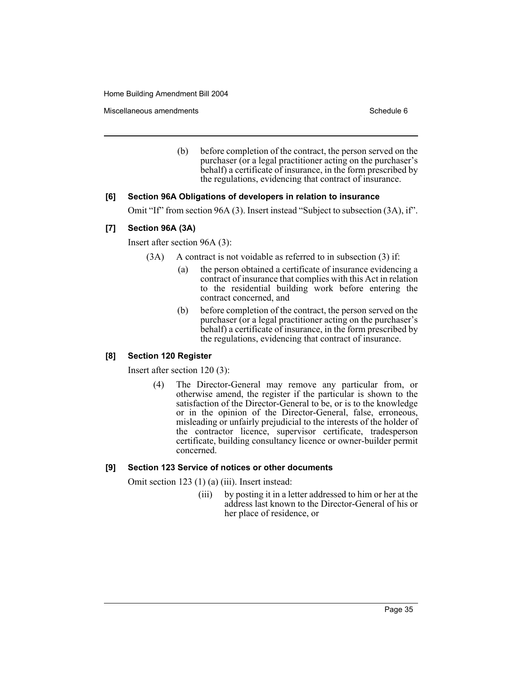Miscellaneous amendments **Schedule 6** and the schedule 6 and the schedule 6 and the schedule 6

(b) before completion of the contract, the person served on the purchaser (or a legal practitioner acting on the purchaser's behalf) a certificate of insurance, in the form prescribed by the regulations, evidencing that contract of insurance.

#### **[6] Section 96A Obligations of developers in relation to insurance**

Omit "If" from section 96A (3). Insert instead "Subject to subsection (3A), if".

#### **[7] Section 96A (3A)**

Insert after section 96A (3):

- (3A) A contract is not voidable as referred to in subsection (3) if:
	- (a) the person obtained a certificate of insurance evidencing a contract of insurance that complies with this Act in relation to the residential building work before entering the contract concerned, and
	- (b) before completion of the contract, the person served on the purchaser (or a legal practitioner acting on the purchaser's behalf) a certificate of insurance, in the form prescribed by the regulations, evidencing that contract of insurance.

#### **[8] Section 120 Register**

Insert after section 120 (3):

(4) The Director-General may remove any particular from, or otherwise amend, the register if the particular is shown to the satisfaction of the Director-General to be, or is to the knowledge or in the opinion of the Director-General, false, erroneous, misleading or unfairly prejudicial to the interests of the holder of the contractor licence, supervisor certificate, tradesperson certificate, building consultancy licence or owner-builder permit concerned.

#### **[9] Section 123 Service of notices or other documents**

Omit section 123 (1) (a) (iii). Insert instead:

(iii) by posting it in a letter addressed to him or her at the address last known to the Director-General of his or her place of residence, or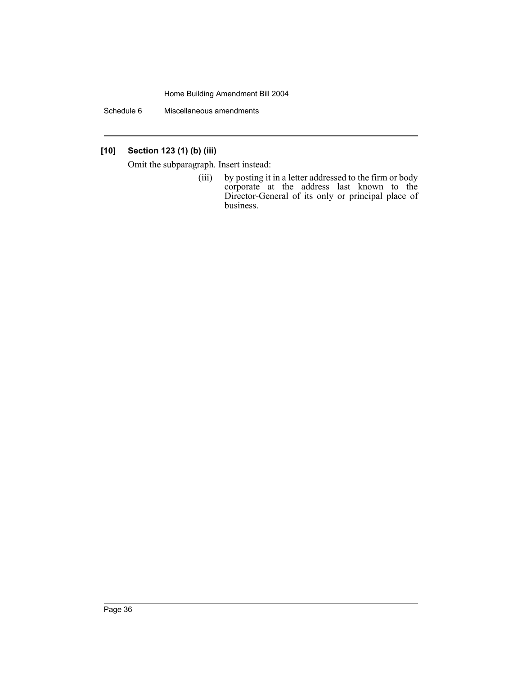Schedule 6 Miscellaneous amendments

## **[10] Section 123 (1) (b) (iii)**

Omit the subparagraph. Insert instead:

(iii) by posting it in a letter addressed to the firm or body corporate at the address last known to the Director-General of its only or principal place of business.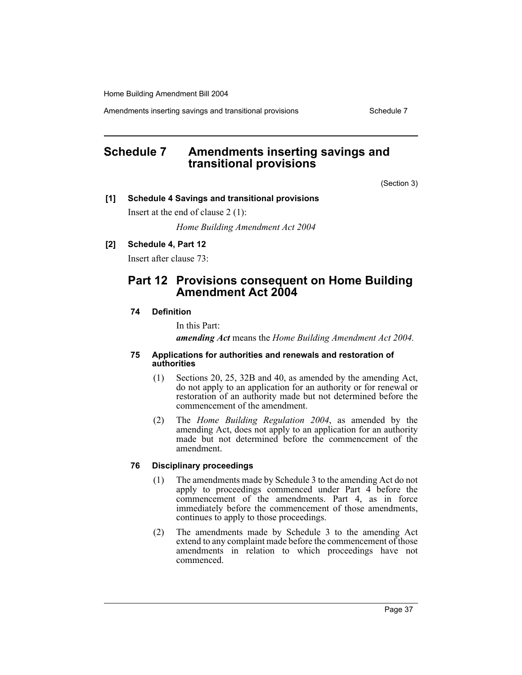Amendments inserting savings and transitional provisions Theorem Schedule 7

# **Schedule 7 Amendments inserting savings and transitional provisions**

(Section 3)

#### **[1] Schedule 4 Savings and transitional provisions**

Insert at the end of clause 2 (1):

*Home Building Amendment Act 2004*

## **[2] Schedule 4, Part 12**

Insert after clause 73:

# **Part 12 Provisions consequent on Home Building Amendment Act 2004**

## **74 Definition**

In this Part:

*amending Act* means the *Home Building Amendment Act 2004.*

#### **75 Applications for authorities and renewals and restoration of authorities**

- (1) Sections 20, 25, 32B and 40, as amended by the amending Act, do not apply to an application for an authority or for renewal or restoration of an authority made but not determined before the commencement of the amendment.
- (2) The *Home Building Regulation 2004*, as amended by the amending Act, does not apply to an application for an authority made but not determined before the commencement of the amendment.

## **76 Disciplinary proceedings**

- (1) The amendments made by Schedule 3 to the amending Act do not apply to proceedings commenced under Part 4 before the commencement of the amendments. Part 4, as in force immediately before the commencement of those amendments, continues to apply to those proceedings.
- (2) The amendments made by Schedule 3 to the amending Act extend to any complaint made before the commencement of those amendments in relation to which proceedings have not commenced.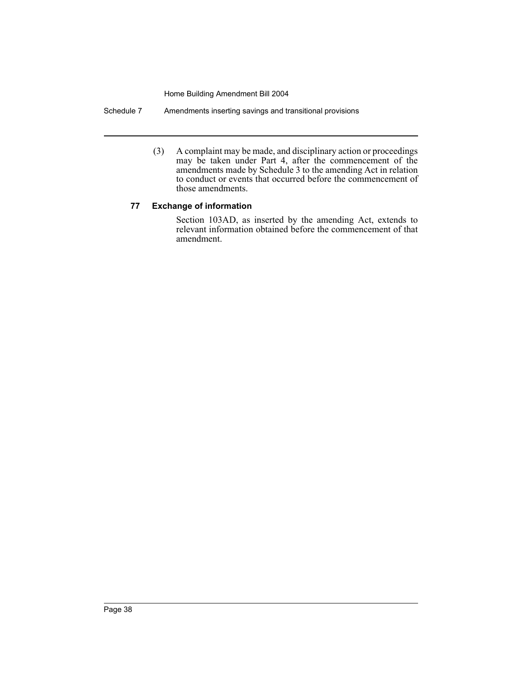Schedule 7 Amendments inserting savings and transitional provisions

(3) A complaint may be made, and disciplinary action or proceedings may be taken under Part 4, after the commencement of the amendments made by Schedule 3 to the amending Act in relation to conduct or events that occurred before the commencement of those amendments.

## **77 Exchange of information**

Section 103AD, as inserted by the amending Act, extends to relevant information obtained before the commencement of that amendment.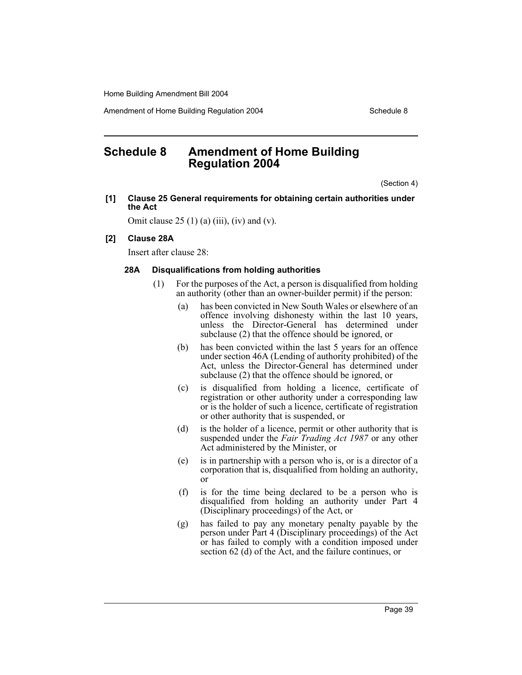Amendment of Home Building Regulation 2004 Schedule 8

# **Schedule 8 Amendment of Home Building Regulation 2004**

(Section 4)

**[1] Clause 25 General requirements for obtaining certain authorities under the Act**

Omit clause  $25(1)(a)$  (iii), (iv) and (v).

#### **[2] Clause 28A**

Insert after clause 28:

#### **28A Disqualifications from holding authorities**

- (1) For the purposes of the Act, a person is disqualified from holding an authority (other than an owner-builder permit) if the person:
	- (a) has been convicted in New South Wales or elsewhere of an offence involving dishonesty within the last 10 years, unless the Director-General has determined under subclause (2) that the offence should be ignored, or
	- (b) has been convicted within the last 5 years for an offence under section 46A (Lending of authority prohibited) of the Act, unless the Director-General has determined under subclause (2) that the offence should be ignored, or
	- (c) is disqualified from holding a licence, certificate of registration or other authority under a corresponding law or is the holder of such a licence, certificate of registration or other authority that is suspended, or
	- (d) is the holder of a licence, permit or other authority that is suspended under the *Fair Trading Act 1987* or any other Act administered by the Minister, or
	- (e) is in partnership with a person who is, or is a director of a corporation that is, disqualified from holding an authority, or
	- (f) is for the time being declared to be a person who is disqualified from holding an authority under Part 4 (Disciplinary proceedings) of the Act, or
	- (g) has failed to pay any monetary penalty payable by the person under Part 4 (Disciplinary proceedings) of the Act or has failed to comply with a condition imposed under section 62 (d) of the Act, and the failure continues, or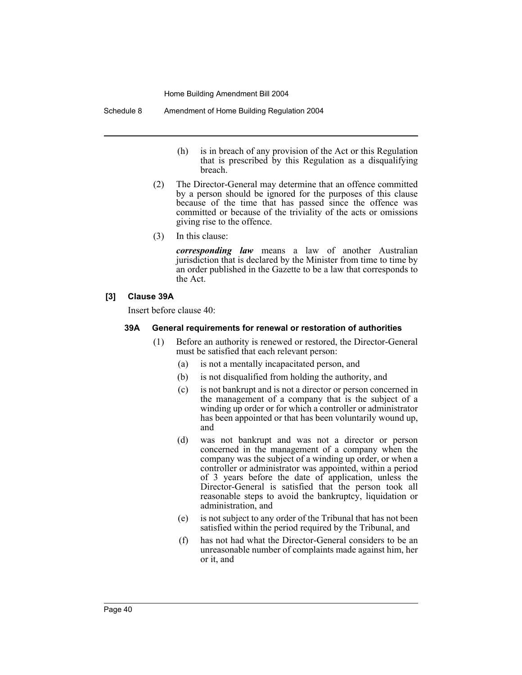Schedule 8 Amendment of Home Building Regulation 2004

- (h) is in breach of any provision of the Act or this Regulation that is prescribed by this Regulation as a disqualifying breach.
- (2) The Director-General may determine that an offence committed by a person should be ignored for the purposes of this clause because of the time that has passed since the offence was committed or because of the triviality of the acts or omissions giving rise to the offence.
- (3) In this clause:

*corresponding law* means a law of another Australian jurisdiction that is declared by the Minister from time to time by an order published in the Gazette to be a law that corresponds to the Act.

## **[3] Clause 39A**

Insert before clause 40:

#### **39A General requirements for renewal or restoration of authorities**

- (1) Before an authority is renewed or restored, the Director-General must be satisfied that each relevant person:
	- (a) is not a mentally incapacitated person, and
	- (b) is not disqualified from holding the authority, and
	- (c) is not bankrupt and is not a director or person concerned in the management of a company that is the subject of a winding up order or for which a controller or administrator has been appointed or that has been voluntarily wound up, and
	- (d) was not bankrupt and was not a director or person concerned in the management of a company when the company was the subject of a winding up order, or when a controller or administrator was appointed, within a period of 3 years before the date of application, unless the Director-General is satisfied that the person took all reasonable steps to avoid the bankruptcy, liquidation or administration, and
	- (e) is not subject to any order of the Tribunal that has not been satisfied within the period required by the Tribunal, and
	- (f) has not had what the Director-General considers to be an unreasonable number of complaints made against him, her or it, and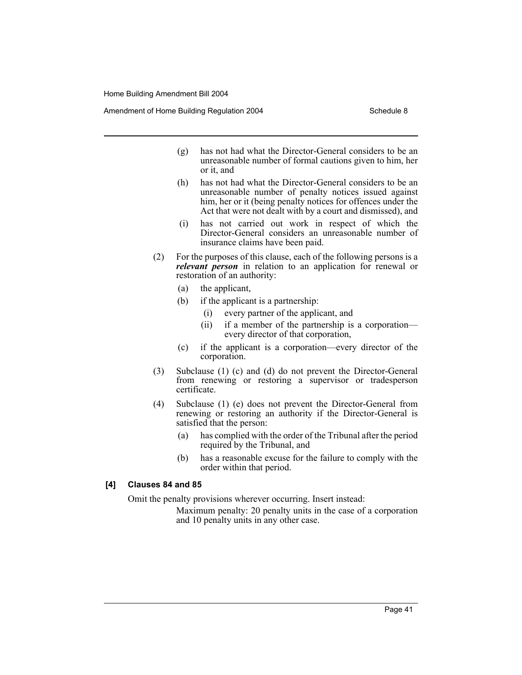Amendment of Home Building Regulation 2004 Schedule 8

- (g) has not had what the Director-General considers to be an unreasonable number of formal cautions given to him, her or it, and
- (h) has not had what the Director-General considers to be an unreasonable number of penalty notices issued against him, her or it (being penalty notices for offences under the Act that were not dealt with by a court and dismissed), and
- (i) has not carried out work in respect of which the Director-General considers an unreasonable number of insurance claims have been paid.
- (2) For the purposes of this clause, each of the following persons is a *relevant person* in relation to an application for renewal or restoration of an authority:
	- (a) the applicant,
	- (b) if the applicant is a partnership:
		- (i) every partner of the applicant, and
		- (ii) if a member of the partnership is a corporation every director of that corporation,
	- (c) if the applicant is a corporation—every director of the corporation.
- (3) Subclause (1) (c) and (d) do not prevent the Director-General from renewing or restoring a supervisor or tradesperson certificate.
- (4) Subclause (1) (e) does not prevent the Director-General from renewing or restoring an authority if the Director-General is satisfied that the person:
	- (a) has complied with the order of the Tribunal after the period required by the Tribunal, and
	- (b) has a reasonable excuse for the failure to comply with the order within that period.

#### **[4] Clauses 84 and 85**

Omit the penalty provisions wherever occurring. Insert instead:

Maximum penalty: 20 penalty units in the case of a corporation and 10 penalty units in any other case.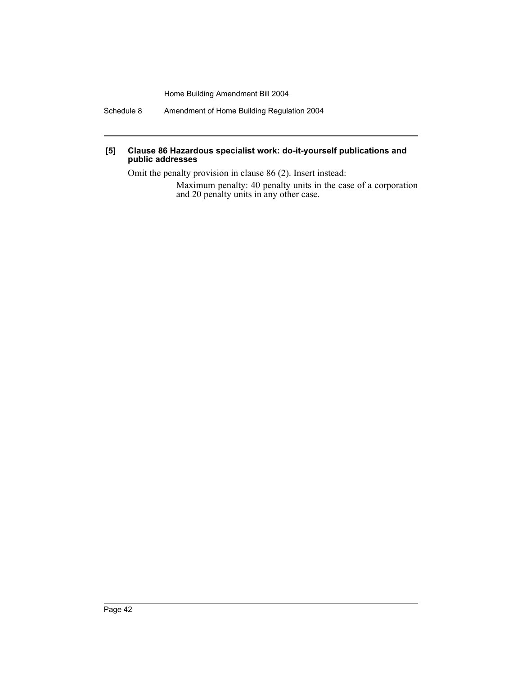Schedule 8 Amendment of Home Building Regulation 2004

#### **[5] Clause 86 Hazardous specialist work: do-it-yourself publications and public addresses**

Omit the penalty provision in clause 86 (2). Insert instead: Maximum penalty: 40 penalty units in the case of a corporation and 20 penalty units in any other case.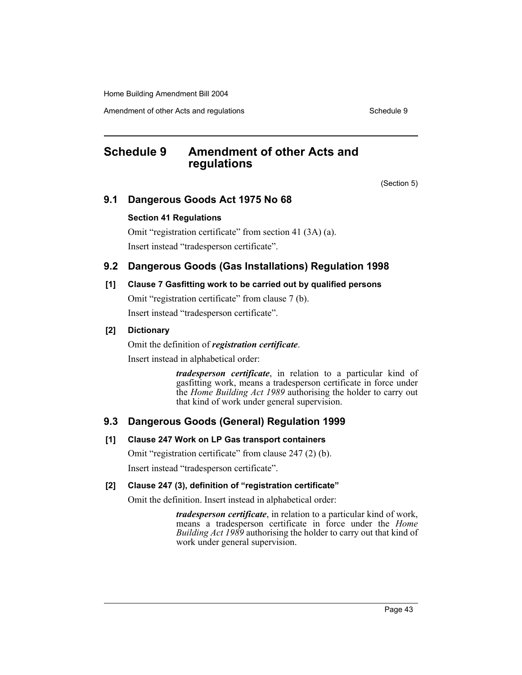Amendment of other Acts and regulations Schedule 9 and the Schedule 9 settled as Schedule 9

# **Schedule 9 Amendment of other Acts and regulations**

(Section 5)

# **9.1 Dangerous Goods Act 1975 No 68**

## **Section 41 Regulations**

Omit "registration certificate" from section 41 (3A) (a). Insert instead "tradesperson certificate".

# **9.2 Dangerous Goods (Gas Installations) Regulation 1998**

# **[1] Clause 7 Gasfitting work to be carried out by qualified persons**

Omit "registration certificate" from clause 7 (b). Insert instead "tradesperson certificate".

# **[2] Dictionary**

Omit the definition of *registration certificate*.

Insert instead in alphabetical order:

*tradesperson certificate*, in relation to a particular kind of gasfitting work, means a tradesperson certificate in force under the *Home Building Act 1989* authorising the holder to carry out that kind of work under general supervision.

# **9.3 Dangerous Goods (General) Regulation 1999**

## **[1] Clause 247 Work on LP Gas transport containers**

Omit "registration certificate" from clause 247 (2) (b).

Insert instead "tradesperson certificate".

## **[2] Clause 247 (3), definition of "registration certificate"**

Omit the definition. Insert instead in alphabetical order:

*tradesperson certificate*, in relation to a particular kind of work, means a tradesperson certificate in force under the *Home Building Act 1989* authorising the holder to carry out that kind of work under general supervision.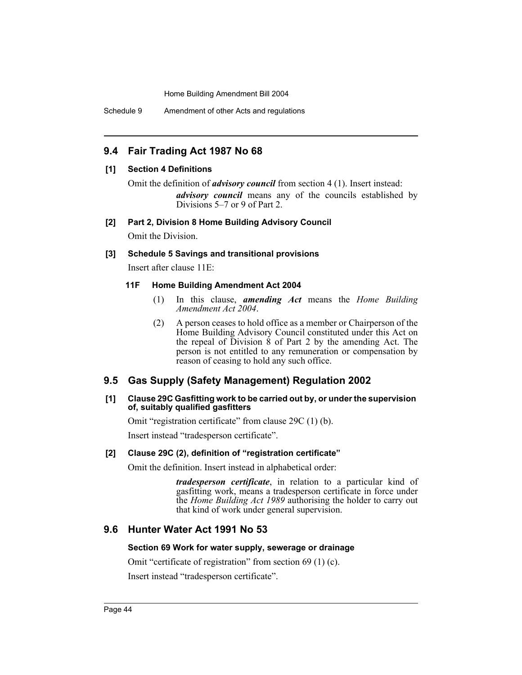Schedule 9 Amendment of other Acts and regulations

## **9.4 Fair Trading Act 1987 No 68**

## **[1] Section 4 Definitions**

Omit the definition of *advisory council* from section 4 (1). Insert instead: *advisory council* means any of the councils established by Divisions 5–7 or 9 of Part 2.

#### **[2] Part 2, Division 8 Home Building Advisory Council**

Omit the Division.

#### **[3] Schedule 5 Savings and transitional provisions**

Insert after clause 11E:

#### **11F Home Building Amendment Act 2004**

- (1) In this clause, *amending Act* means the *Home Building Amendment Act 2004*.
- (2) A person ceases to hold office as a member or Chairperson of the Home Building Advisory Council constituted under this Act on the repeal of Division  $\dot{8}$  of Part 2 by the amending Act. The person is not entitled to any remuneration or compensation by reason of ceasing to hold any such office.

## **9.5 Gas Supply (Safety Management) Regulation 2002**

#### **[1] Clause 29C Gasfitting work to be carried out by, or under the supervision of, suitably qualified gasfitters**

Omit "registration certificate" from clause 29C (1) (b).

Insert instead "tradesperson certificate".

## **[2] Clause 29C (2), definition of "registration certificate"**

Omit the definition. Insert instead in alphabetical order:

*tradesperson certificate*, in relation to a particular kind of gasfitting work, means a tradesperson certificate in force under the *Home Building Act 1989* authorising the holder to carry out that kind of work under general supervision.

# **9.6 Hunter Water Act 1991 No 53**

## **Section 69 Work for water supply, sewerage or drainage**

Omit "certificate of registration" from section 69 (1) (c).

Insert instead "tradesperson certificate".